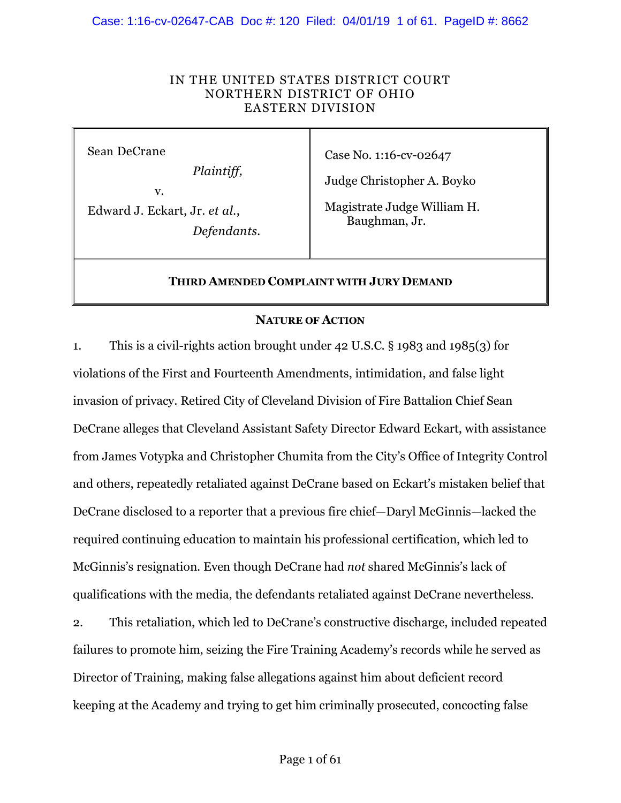### Case: 1:16-cv-02647-CAB Doc #: 120 Filed: 04/01/19 1 of 61. PageID #: 8662

### IN THE UNITED STATES DISTRICT COURT NORTHERN DISTRICT OF OHIO EASTERN DIVISION

Sean DeCrane

*Plaintiff,*

v.

Edward J. Eckart, Jr. *et al*., *Defendants.* Case No. 1:16-cv-02647

Judge Christopher A. Boyko

Magistrate Judge William H. Baughman, Jr.

### **THIRD AMENDED COMPLAINT WITH JURY DEMAND**

### **NATURE OF ACTION**

1. This is a civil-rights action brought under 42 U.S.C. § 1983 and 1985(3) for violations of the First and Fourteenth Amendments, intimidation, and false light invasion of privacy. Retired City of Cleveland Division of Fire Battalion Chief Sean DeCrane alleges that Cleveland Assistant Safety Director Edward Eckart, with assistance from James Votypka and Christopher Chumita from the City's Office of Integrity Control and others, repeatedly retaliated against DeCrane based on Eckart's mistaken belief that DeCrane disclosed to a reporter that a previous fire chief—Daryl McGinnis—lacked the required continuing education to maintain his professional certification, which led to McGinnis's resignation. Even though DeCrane had *not* shared McGinnis's lack of qualifications with the media, the defendants retaliated against DeCrane nevertheless.

2. This retaliation, which led to DeCrane's constructive discharge, included repeated failures to promote him, seizing the Fire Training Academy's records while he served as Director of Training, making false allegations against him about deficient record keeping at the Academy and trying to get him criminally prosecuted, concocting false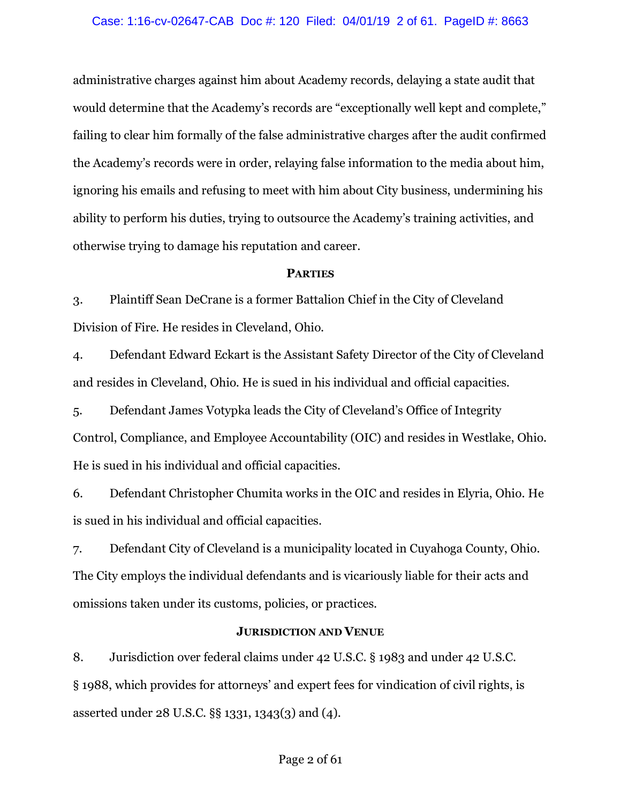### Case: 1:16-cv-02647-CAB Doc #: 120 Filed: 04/01/19 2 of 61. PageID #: 8663

administrative charges against him about Academy records, delaying a state audit that would determine that the Academy's records are "exceptionally well kept and complete," failing to clear him formally of the false administrative charges after the audit confirmed the Academy's records were in order, relaying false information to the media about him, ignoring his emails and refusing to meet with him about City business, undermining his ability to perform his duties, trying to outsource the Academy's training activities, and otherwise trying to damage his reputation and career.

### **PARTIES**

3. Plaintiff Sean DeCrane is a former Battalion Chief in the City of Cleveland Division of Fire. He resides in Cleveland, Ohio.

4. Defendant Edward Eckart is the Assistant Safety Director of the City of Cleveland and resides in Cleveland, Ohio. He is sued in his individual and official capacities.

5. Defendant James Votypka leads the City of Cleveland's Office of Integrity Control, Compliance, and Employee Accountability (OIC) and resides in Westlake, Ohio. He is sued in his individual and official capacities.

6. Defendant Christopher Chumita works in the OIC and resides in Elyria, Ohio. He is sued in his individual and official capacities.

7. Defendant City of Cleveland is a municipality located in Cuyahoga County, Ohio. The City employs the individual defendants and is vicariously liable for their acts and omissions taken under its customs, policies, or practices.

## **JURISDICTION AND VENUE**

8. Jurisdiction over federal claims under 42 U.S.C. § 1983 and under 42 U.S.C. § 1988, which provides for attorneys' and expert fees for vindication of civil rights, is asserted under 28 U.S.C. §§ 1331, 1343(3) and (4).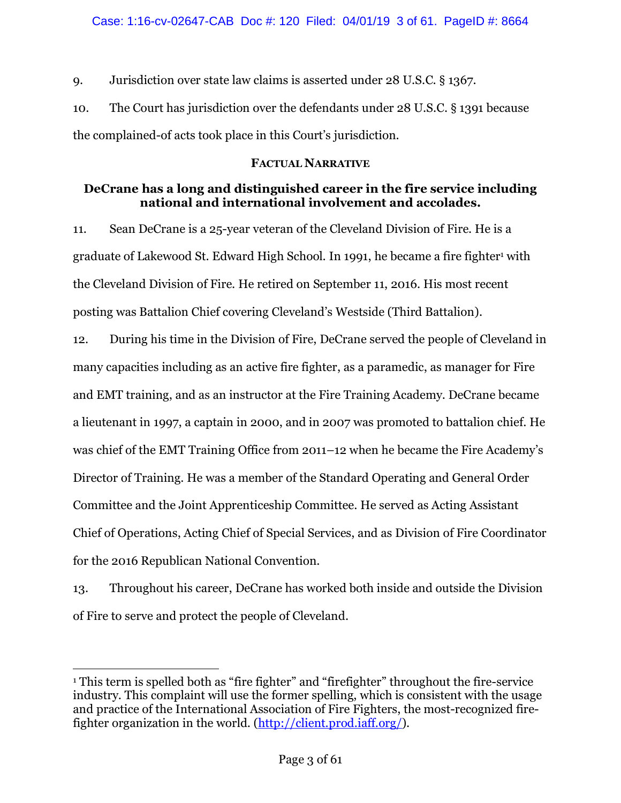9. Jurisdiction over state law claims is asserted under 28 U.S.C. § 1367.

10. The Court has jurisdiction over the defendants under 28 U.S.C. § 1391 because the complained-of acts took place in this Court's jurisdiction.

# **FACTUAL NARRATIVE**

# **DeCrane has a long and distinguished career in the fire service including national and international involvement and accolades.**

11. Sean DeCrane is a 25-year veteran of the Cleveland Division of Fire. He is a graduate of Lakewood St. Edward High School. In 1991, he became a fire fighter<sup>1</sup> with the Cleveland Division of Fire. He retired on September 11, 2016. His most recent posting was Battalion Chief covering Cleveland's Westside (Third Battalion).

12. During his time in the Division of Fire, DeCrane served the people of Cleveland in many capacities including as an active fire fighter, as a paramedic, as manager for Fire and EMT training, and as an instructor at the Fire Training Academy. DeCrane became a lieutenant in 1997, a captain in 2000, and in 2007 was promoted to battalion chief. He was chief of the EMT Training Office from 2011–12 when he became the Fire Academy's Director of Training. He was a member of the Standard Operating and General Order Committee and the Joint Apprenticeship Committee. He served as Acting Assistant Chief of Operations, Acting Chief of Special Services, and as Division of Fire Coordinator for the 2016 Republican National Convention.

13. Throughout his career, DeCrane has worked both inside and outside the Division of Fire to serve and protect the people of Cleveland.

 <sup>1</sup> This term is spelled both as "fire fighter" and "firefighter" throughout the fire-service industry. This complaint will use the former spelling, which is consistent with the usage and practice of the International Association of Fire Fighters, the most-recognized firefighter organization in the world. (http://client.prod.iaff.org/).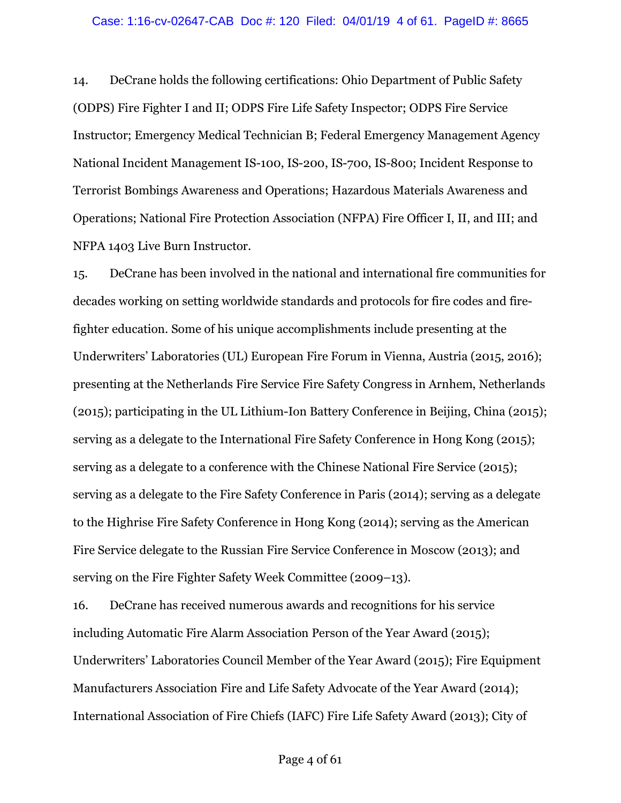14. DeCrane holds the following certifications: Ohio Department of Public Safety (ODPS) Fire Fighter I and II; ODPS Fire Life Safety Inspector; ODPS Fire Service Instructor; Emergency Medical Technician B; Federal Emergency Management Agency National Incident Management IS-100, IS-200, IS-700, IS-800; Incident Response to Terrorist Bombings Awareness and Operations; Hazardous Materials Awareness and Operations; National Fire Protection Association (NFPA) Fire Officer I, II, and III; and NFPA 1403 Live Burn Instructor.

15. DeCrane has been involved in the national and international fire communities for decades working on setting worldwide standards and protocols for fire codes and firefighter education. Some of his unique accomplishments include presenting at the Underwriters' Laboratories (UL) European Fire Forum in Vienna, Austria (2015, 2016); presenting at the Netherlands Fire Service Fire Safety Congress in Arnhem, Netherlands (2015); participating in the UL Lithium-Ion Battery Conference in Beijing, China (2015); serving as a delegate to the International Fire Safety Conference in Hong Kong (2015); serving as a delegate to a conference with the Chinese National Fire Service (2015); serving as a delegate to the Fire Safety Conference in Paris (2014); serving as a delegate to the Highrise Fire Safety Conference in Hong Kong (2014); serving as the American Fire Service delegate to the Russian Fire Service Conference in Moscow (2013); and serving on the Fire Fighter Safety Week Committee (2009–13).

16. DeCrane has received numerous awards and recognitions for his service including Automatic Fire Alarm Association Person of the Year Award (2015); Underwriters' Laboratories Council Member of the Year Award (2015); Fire Equipment Manufacturers Association Fire and Life Safety Advocate of the Year Award (2014); International Association of Fire Chiefs (IAFC) Fire Life Safety Award (2013); City of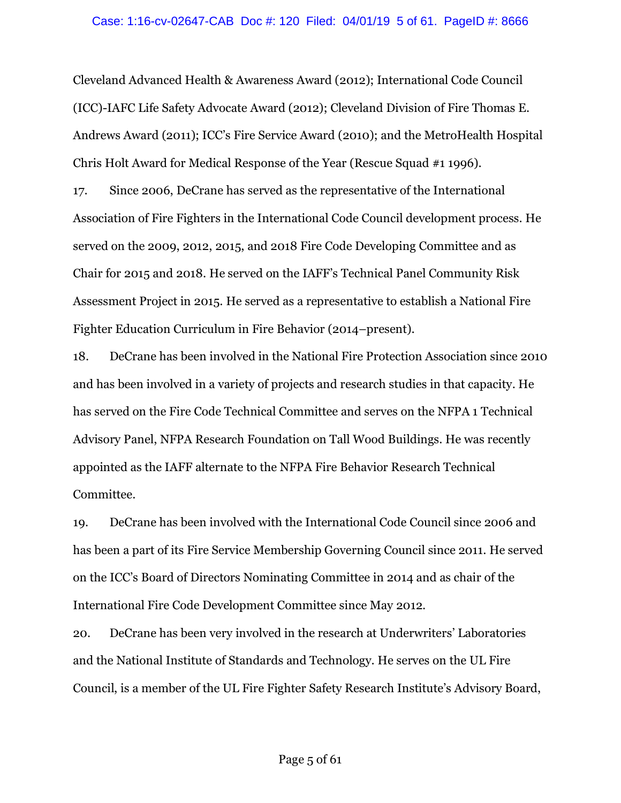Cleveland Advanced Health & Awareness Award (2012); International Code Council (ICC)-IAFC Life Safety Advocate Award (2012); Cleveland Division of Fire Thomas E. Andrews Award (2011); ICC's Fire Service Award (2010); and the MetroHealth Hospital Chris Holt Award for Medical Response of the Year (Rescue Squad #1 1996).

17. Since 2006, DeCrane has served as the representative of the International Association of Fire Fighters in the International Code Council development process. He served on the 2009, 2012, 2015, and 2018 Fire Code Developing Committee and as Chair for 2015 and 2018. He served on the IAFF's Technical Panel Community Risk Assessment Project in 2015. He served as a representative to establish a National Fire Fighter Education Curriculum in Fire Behavior (2014–present).

18. DeCrane has been involved in the National Fire Protection Association since 2010 and has been involved in a variety of projects and research studies in that capacity. He has served on the Fire Code Technical Committee and serves on the NFPA 1 Technical Advisory Panel, NFPA Research Foundation on Tall Wood Buildings. He was recently appointed as the IAFF alternate to the NFPA Fire Behavior Research Technical Committee.

19. DeCrane has been involved with the International Code Council since 2006 and has been a part of its Fire Service Membership Governing Council since 2011. He served on the ICC's Board of Directors Nominating Committee in 2014 and as chair of the International Fire Code Development Committee since May 2012.

20. DeCrane has been very involved in the research at Underwriters' Laboratories and the National Institute of Standards and Technology. He serves on the UL Fire Council, is a member of the UL Fire Fighter Safety Research Institute's Advisory Board,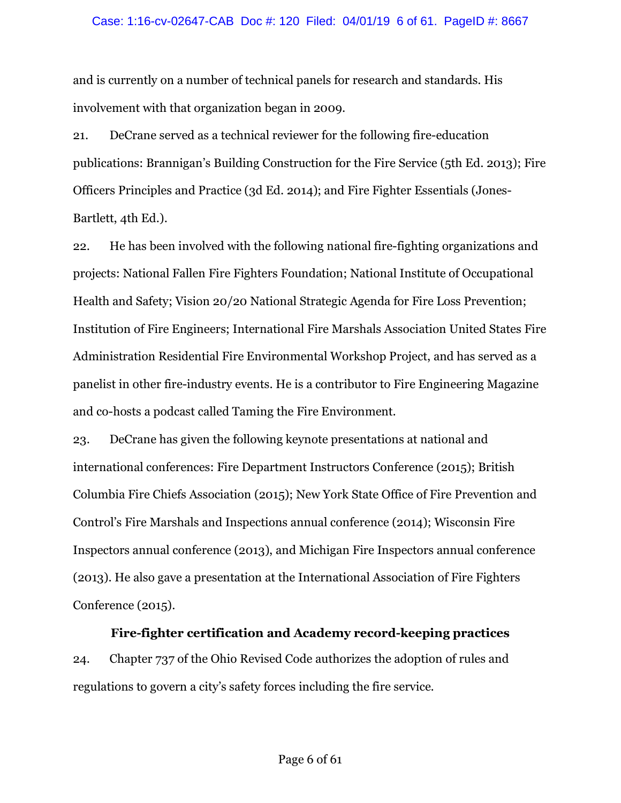### Case: 1:16-cv-02647-CAB Doc #: 120 Filed: 04/01/19 6 of 61. PageID #: 8667

and is currently on a number of technical panels for research and standards. His involvement with that organization began in 2009.

21. DeCrane served as a technical reviewer for the following fire-education publications: Brannigan's Building Construction for the Fire Service (5th Ed. 2013); Fire Officers Principles and Practice (3d Ed. 2014); and Fire Fighter Essentials (Jones-Bartlett, 4th Ed.).

22. He has been involved with the following national fire-fighting organizations and projects: National Fallen Fire Fighters Foundation; National Institute of Occupational Health and Safety; Vision 20/20 National Strategic Agenda for Fire Loss Prevention; Institution of Fire Engineers; International Fire Marshals Association United States Fire Administration Residential Fire Environmental Workshop Project, and has served as a panelist in other fire-industry events. He is a contributor to Fire Engineering Magazine and co-hosts a podcast called Taming the Fire Environment.

23. DeCrane has given the following keynote presentations at national and international conferences: Fire Department Instructors Conference (2015); British Columbia Fire Chiefs Association (2015); New York State Office of Fire Prevention and Control's Fire Marshals and Inspections annual conference (2014); Wisconsin Fire Inspectors annual conference (2013), and Michigan Fire Inspectors annual conference (2013). He also gave a presentation at the International Association of Fire Fighters Conference (2015).

**Fire-fighter certification and Academy record-keeping practices** 24. Chapter 737 of the Ohio Revised Code authorizes the adoption of rules and regulations to govern a city's safety forces including the fire service.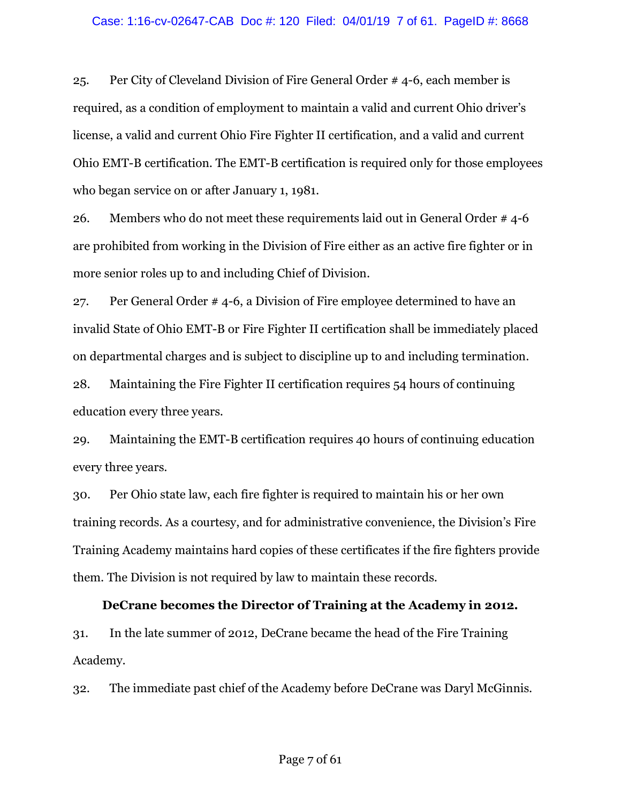### Case: 1:16-cv-02647-CAB Doc #: 120 Filed: 04/01/19 7 of 61. PageID #: 8668

25. Per City of Cleveland Division of Fire General Order # 4-6, each member is required, as a condition of employment to maintain a valid and current Ohio driver's license, a valid and current Ohio Fire Fighter II certification, and a valid and current Ohio EMT-B certification. The EMT-B certification is required only for those employees who began service on or after January 1, 1981.

26. Members who do not meet these requirements laid out in General Order # 4-6 are prohibited from working in the Division of Fire either as an active fire fighter or in more senior roles up to and including Chief of Division.

27. Per General Order # 4-6, a Division of Fire employee determined to have an invalid State of Ohio EMT-B or Fire Fighter II certification shall be immediately placed on departmental charges and is subject to discipline up to and including termination.

28. Maintaining the Fire Fighter II certification requires 54 hours of continuing education every three years.

29. Maintaining the EMT-B certification requires 40 hours of continuing education every three years.

30. Per Ohio state law, each fire fighter is required to maintain his or her own training records. As a courtesy, and for administrative convenience, the Division's Fire Training Academy maintains hard copies of these certificates if the fire fighters provide them. The Division is not required by law to maintain these records.

### **DeCrane becomes the Director of Training at the Academy in 2012.**

31. In the late summer of 2012, DeCrane became the head of the Fire Training Academy.

32. The immediate past chief of the Academy before DeCrane was Daryl McGinnis.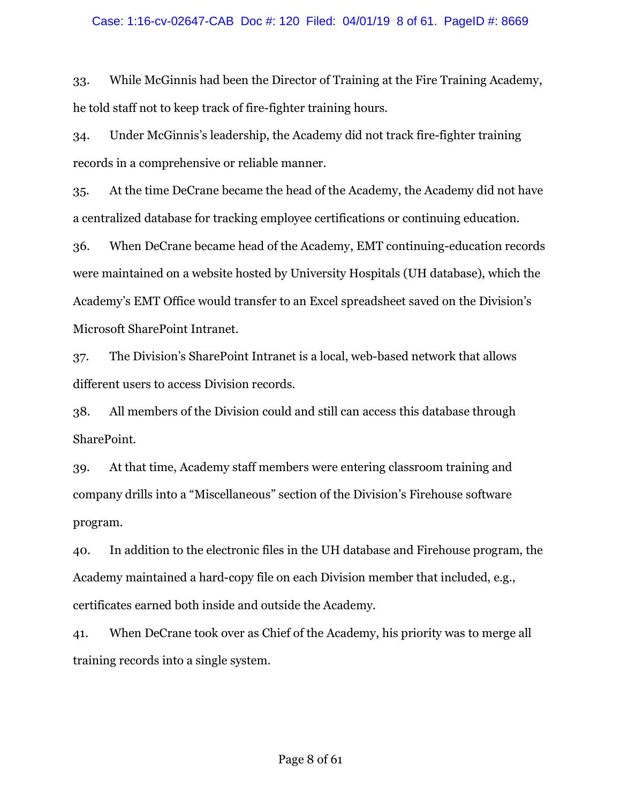### Case: 1:16-cv-02647-CAB Doc #: 120 Filed: 04/01/19 8 of 61. PageID #: 8669

33. While McGinnis had been the Director of Training at the Fire Training Academy, he told staff not to keep track of fire-fighter training hours.

34. Under McGinnis's leadership, the Academy did not track fire-fighter training records in a comprehensive or reliable manner.

35. At the time DeCrane became the head of the Academy, the Academy did not have a centralized database for tracking employee certifications or continuing education.

36. When DeCrane became head of the Academy, EMT continuing-education records were maintained on a website hosted by University Hospitals (UH database), which the Academy's EMT Office would transfer to an Excel spreadsheet saved on the Division's Microsoft SharePoint Intranet.

37. The Division's SharePoint Intranet is a local, web-based network that allows different users to access Division records.

38. All members of the Division could and still can access this database through SharePoint.

39. At that time, Academy staff members were entering classroom training and company drills into a "Miscellaneous" section of the Division's Firehouse software program.

40. In addition to the electronic files in the UH database and Firehouse program, the Academy maintained a hard-copy file on each Division member that included, e.g., certificates earned both inside and outside the Academy.

41. When DeCrane took over as Chief of the Academy, his priority was to merge all training records into a single system.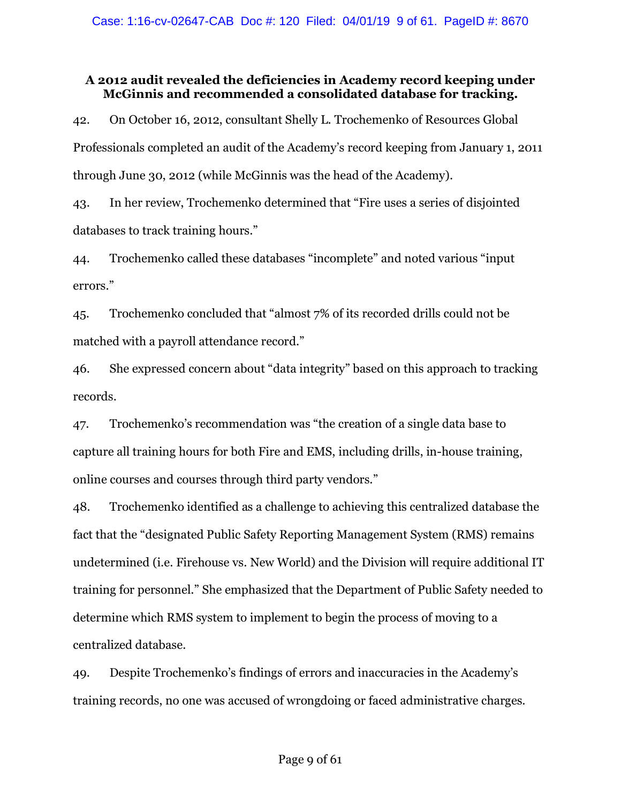# **A 2012 audit revealed the deficiencies in Academy record keeping under McGinnis and recommended a consolidated database for tracking.**

42. On October 16, 2012, consultant Shelly L. Trochemenko of Resources Global Professionals completed an audit of the Academy's record keeping from January 1, 2011 through June 30, 2012 (while McGinnis was the head of the Academy).

43. In her review, Trochemenko determined that "Fire uses a series of disjointed databases to track training hours."

44. Trochemenko called these databases "incomplete" and noted various "input errors."

45. Trochemenko concluded that "almost 7% of its recorded drills could not be matched with a payroll attendance record."

46. She expressed concern about "data integrity" based on this approach to tracking records.

47. Trochemenko's recommendation was "the creation of a single data base to capture all training hours for both Fire and EMS, including drills, in-house training, online courses and courses through third party vendors."

48. Trochemenko identified as a challenge to achieving this centralized database the fact that the "designated Public Safety Reporting Management System (RMS) remains undetermined (i.e. Firehouse vs. New World) and the Division will require additional IT training for personnel." She emphasized that the Department of Public Safety needed to determine which RMS system to implement to begin the process of moving to a centralized database.

49. Despite Trochemenko's findings of errors and inaccuracies in the Academy's training records, no one was accused of wrongdoing or faced administrative charges.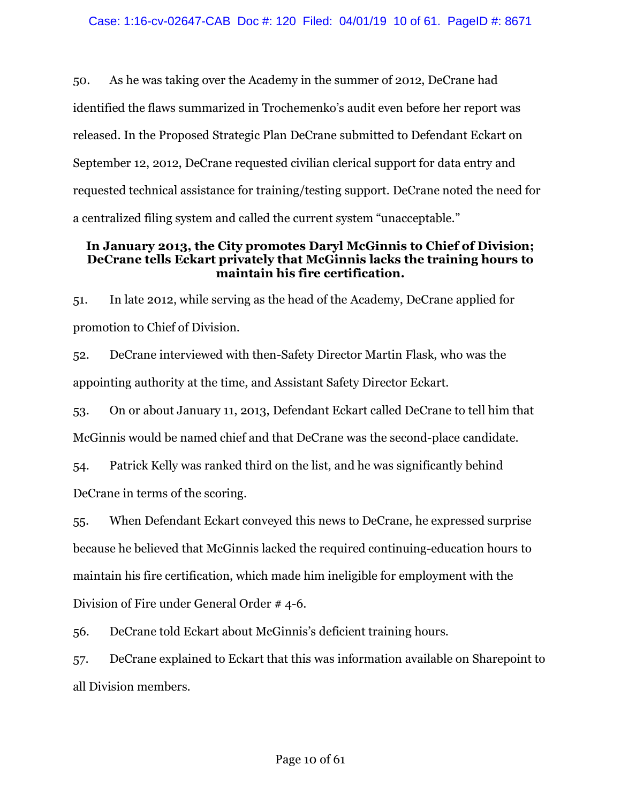50. As he was taking over the Academy in the summer of 2012, DeCrane had identified the flaws summarized in Trochemenko's audit even before her report was released. In the Proposed Strategic Plan DeCrane submitted to Defendant Eckart on September 12, 2012, DeCrane requested civilian clerical support for data entry and requested technical assistance for training/testing support. DeCrane noted the need for a centralized filing system and called the current system "unacceptable."

## **In January 2013, the City promotes Daryl McGinnis to Chief of Division; DeCrane tells Eckart privately that McGinnis lacks the training hours to maintain his fire certification.**

51. In late 2012, while serving as the head of the Academy, DeCrane applied for promotion to Chief of Division.

52. DeCrane interviewed with then-Safety Director Martin Flask, who was the appointing authority at the time, and Assistant Safety Director Eckart.

53. On or about January 11, 2013, Defendant Eckart called DeCrane to tell him that McGinnis would be named chief and that DeCrane was the second-place candidate.

54. Patrick Kelly was ranked third on the list, and he was significantly behind DeCrane in terms of the scoring.

55. When Defendant Eckart conveyed this news to DeCrane, he expressed surprise because he believed that McGinnis lacked the required continuing-education hours to maintain his fire certification, which made him ineligible for employment with the Division of Fire under General Order # 4-6.

56. DeCrane told Eckart about McGinnis's deficient training hours.

57. DeCrane explained to Eckart that this was information available on Sharepoint to all Division members.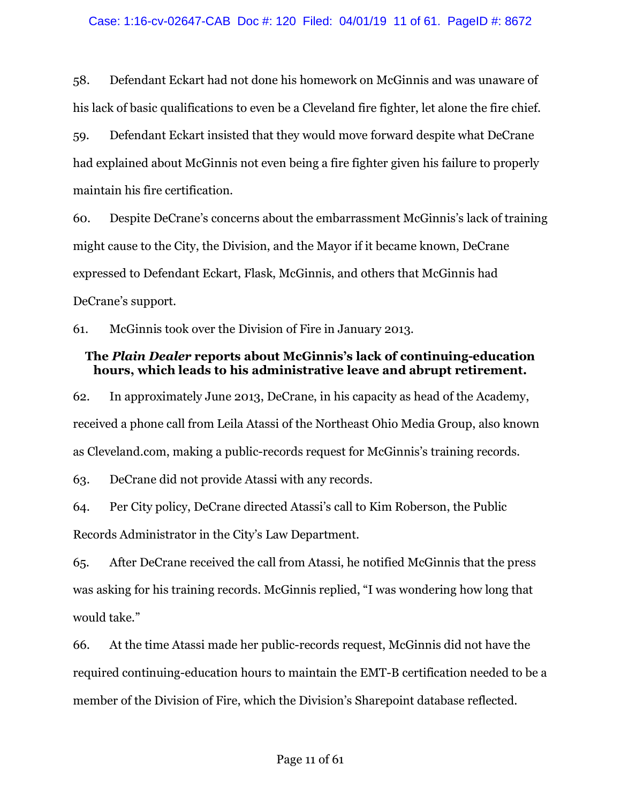58. Defendant Eckart had not done his homework on McGinnis and was unaware of his lack of basic qualifications to even be a Cleveland fire fighter, let alone the fire chief.

59. Defendant Eckart insisted that they would move forward despite what DeCrane had explained about McGinnis not even being a fire fighter given his failure to properly maintain his fire certification.

60. Despite DeCrane's concerns about the embarrassment McGinnis's lack of training might cause to the City, the Division, and the Mayor if it became known, DeCrane expressed to Defendant Eckart, Flask, McGinnis, and others that McGinnis had DeCrane's support.

61. McGinnis took over the Division of Fire in January 2013.

## **The** *Plain Dealer* **reports about McGinnis's lack of continuing-education hours, which leads to his administrative leave and abrupt retirement.**

62. In approximately June 2013, DeCrane, in his capacity as head of the Academy, received a phone call from Leila Atassi of the Northeast Ohio Media Group, also known as Cleveland.com, making a public-records request for McGinnis's training records.

63. DeCrane did not provide Atassi with any records.

64. Per City policy, DeCrane directed Atassi's call to Kim Roberson, the Public Records Administrator in the City's Law Department.

65. After DeCrane received the call from Atassi, he notified McGinnis that the press was asking for his training records. McGinnis replied, "I was wondering how long that would take."

66. At the time Atassi made her public-records request, McGinnis did not have the required continuing-education hours to maintain the EMT-B certification needed to be a member of the Division of Fire, which the Division's Sharepoint database reflected.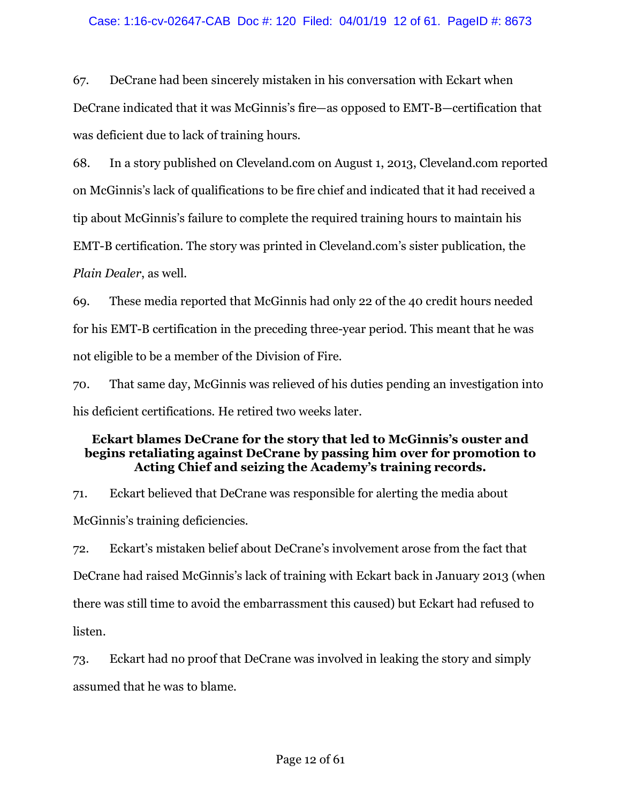67. DeCrane had been sincerely mistaken in his conversation with Eckart when DeCrane indicated that it was McGinnis's fire—as opposed to EMT-B—certification that was deficient due to lack of training hours.

68. In a story published on Cleveland.com on August 1, 2013, Cleveland.com reported on McGinnis's lack of qualifications to be fire chief and indicated that it had received a tip about McGinnis's failure to complete the required training hours to maintain his EMT-B certification. The story was printed in Cleveland.com's sister publication, the *Plain Dealer*, as well.

69. These media reported that McGinnis had only 22 of the 40 credit hours needed for his EMT-B certification in the preceding three-year period. This meant that he was not eligible to be a member of the Division of Fire.

70. That same day, McGinnis was relieved of his duties pending an investigation into his deficient certifications. He retired two weeks later.

# **Eckart blames DeCrane for the story that led to McGinnis's ouster and begins retaliating against DeCrane by passing him over for promotion to Acting Chief and seizing the Academy's training records.**

71. Eckart believed that DeCrane was responsible for alerting the media about McGinnis's training deficiencies.

72. Eckart's mistaken belief about DeCrane's involvement arose from the fact that DeCrane had raised McGinnis's lack of training with Eckart back in January 2013 (when there was still time to avoid the embarrassment this caused) but Eckart had refused to listen.

73. Eckart had no proof that DeCrane was involved in leaking the story and simply assumed that he was to blame.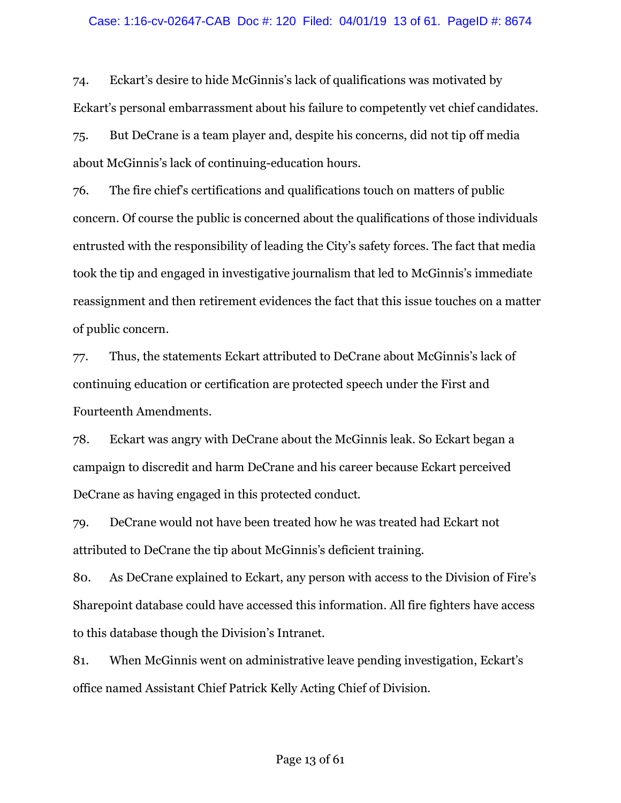### Case: 1:16-cv-02647-CAB Doc #: 120 Filed: 04/01/19 13 of 61. PageID #: 8674

74. Eckart's desire to hide McGinnis's lack of qualifications was motivated by Eckart's personal embarrassment about his failure to competently vet chief candidates.

75. But DeCrane is a team player and, despite his concerns, did not tip off media about McGinnis's lack of continuing-education hours.

76. The fire chief's certifications and qualifications touch on matters of public concern. Of course the public is concerned about the qualifications of those individuals entrusted with the responsibility of leading the City's safety forces. The fact that media took the tip and engaged in investigative journalism that led to McGinnis's immediate reassignment and then retirement evidences the fact that this issue touches on a matter of public concern.

77. Thus, the statements Eckart attributed to DeCrane about McGinnis's lack of continuing education or certification are protected speech under the First and Fourteenth Amendments.

78. Eckart was angry with DeCrane about the McGinnis leak. So Eckart began a campaign to discredit and harm DeCrane and his career because Eckart perceived DeCrane as having engaged in this protected conduct.

79. DeCrane would not have been treated how he was treated had Eckart not attributed to DeCrane the tip about McGinnis's deficient training.

80. As DeCrane explained to Eckart, any person with access to the Division of Fire's Sharepoint database could have accessed this information. All fire fighters have access to this database though the Division's Intranet.

81. When McGinnis went on administrative leave pending investigation, Eckart's office named Assistant Chief Patrick Kelly Acting Chief of Division.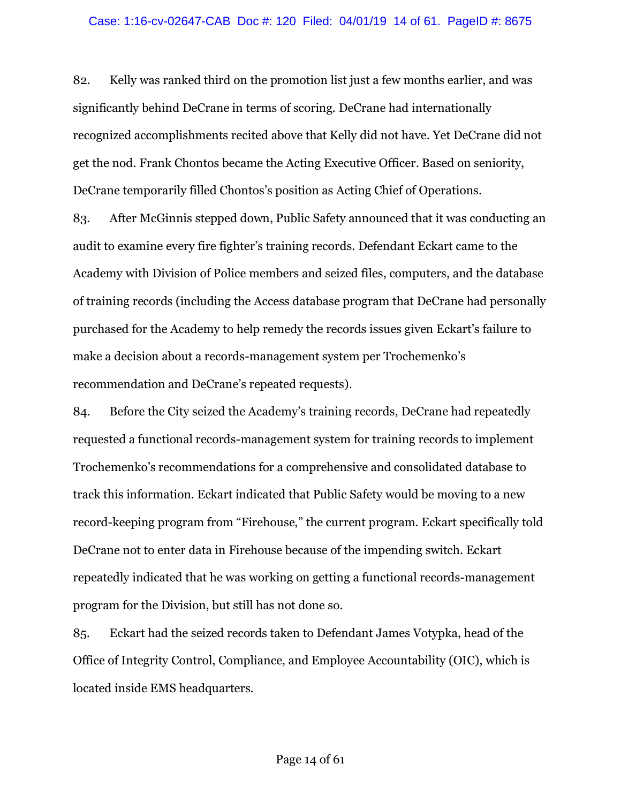### Case: 1:16-cv-02647-CAB Doc #: 120 Filed: 04/01/19 14 of 61. PageID #: 8675

82. Kelly was ranked third on the promotion list just a few months earlier, and was significantly behind DeCrane in terms of scoring. DeCrane had internationally recognized accomplishments recited above that Kelly did not have. Yet DeCrane did not get the nod. Frank Chontos became the Acting Executive Officer. Based on seniority, DeCrane temporarily filled Chontos's position as Acting Chief of Operations.

83. After McGinnis stepped down, Public Safety announced that it was conducting an audit to examine every fire fighter's training records. Defendant Eckart came to the Academy with Division of Police members and seized files, computers, and the database of training records (including the Access database program that DeCrane had personally purchased for the Academy to help remedy the records issues given Eckart's failure to make a decision about a records-management system per Trochemenko's recommendation and DeCrane's repeated requests).

84. Before the City seized the Academy's training records, DeCrane had repeatedly requested a functional records-management system for training records to implement Trochemenko's recommendations for a comprehensive and consolidated database to track this information. Eckart indicated that Public Safety would be moving to a new record-keeping program from "Firehouse," the current program. Eckart specifically told DeCrane not to enter data in Firehouse because of the impending switch. Eckart repeatedly indicated that he was working on getting a functional records-management program for the Division, but still has not done so.

85. Eckart had the seized records taken to Defendant James Votypka, head of the Office of Integrity Control, Compliance, and Employee Accountability (OIC), which is located inside EMS headquarters.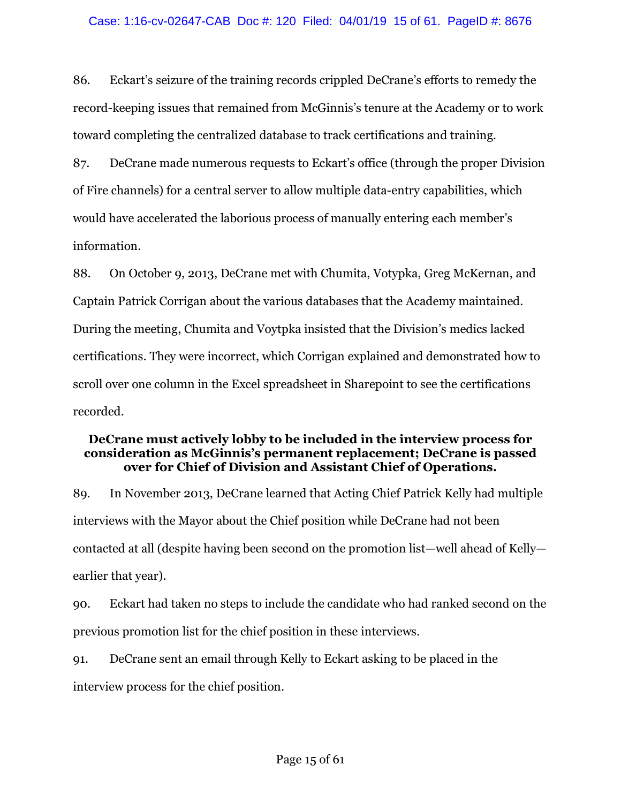86. Eckart's seizure of the training records crippled DeCrane's efforts to remedy the record-keeping issues that remained from McGinnis's tenure at the Academy or to work toward completing the centralized database to track certifications and training.

87. DeCrane made numerous requests to Eckart's office (through the proper Division of Fire channels) for a central server to allow multiple data-entry capabilities, which would have accelerated the laborious process of manually entering each member's information.

88. On October 9, 2013, DeCrane met with Chumita, Votypka, Greg McKernan, and Captain Patrick Corrigan about the various databases that the Academy maintained. During the meeting, Chumita and Voytpka insisted that the Division's medics lacked certifications. They were incorrect, which Corrigan explained and demonstrated how to scroll over one column in the Excel spreadsheet in Sharepoint to see the certifications recorded.

# **DeCrane must actively lobby to be included in the interview process for consideration as McGinnis's permanent replacement; DeCrane is passed over for Chief of Division and Assistant Chief of Operations.**

89. In November 2013, DeCrane learned that Acting Chief Patrick Kelly had multiple interviews with the Mayor about the Chief position while DeCrane had not been contacted at all (despite having been second on the promotion list—well ahead of Kelly earlier that year).

90. Eckart had taken no steps to include the candidate who had ranked second on the previous promotion list for the chief position in these interviews.

91. DeCrane sent an email through Kelly to Eckart asking to be placed in the interview process for the chief position.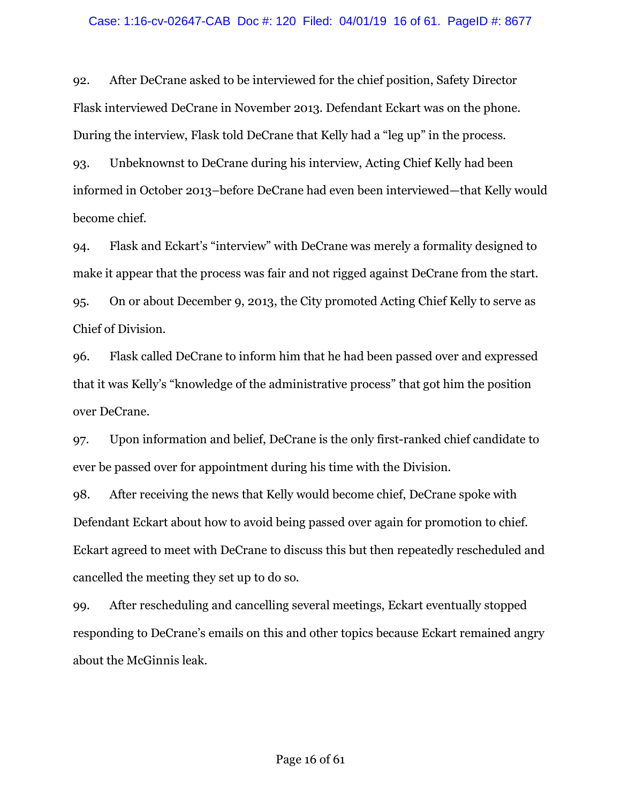### Case: 1:16-cv-02647-CAB Doc #: 120 Filed: 04/01/19 16 of 61. PageID #: 8677

92. After DeCrane asked to be interviewed for the chief position, Safety Director Flask interviewed DeCrane in November 2013. Defendant Eckart was on the phone. During the interview, Flask told DeCrane that Kelly had a "leg up" in the process.

93. Unbeknownst to DeCrane during his interview, Acting Chief Kelly had been informed in October 2013–before DeCrane had even been interviewed—that Kelly would become chief.

94. Flask and Eckart's "interview" with DeCrane was merely a formality designed to make it appear that the process was fair and not rigged against DeCrane from the start. 95. On or about December 9, 2013, the City promoted Acting Chief Kelly to serve as Chief of Division.

96. Flask called DeCrane to inform him that he had been passed over and expressed that it was Kelly's "knowledge of the administrative process" that got him the position over DeCrane.

97. Upon information and belief, DeCrane is the only first-ranked chief candidate to ever be passed over for appointment during his time with the Division.

98. After receiving the news that Kelly would become chief, DeCrane spoke with Defendant Eckart about how to avoid being passed over again for promotion to chief. Eckart agreed to meet with DeCrane to discuss this but then repeatedly rescheduled and cancelled the meeting they set up to do so.

99. After rescheduling and cancelling several meetings, Eckart eventually stopped responding to DeCrane's emails on this and other topics because Eckart remained angry about the McGinnis leak.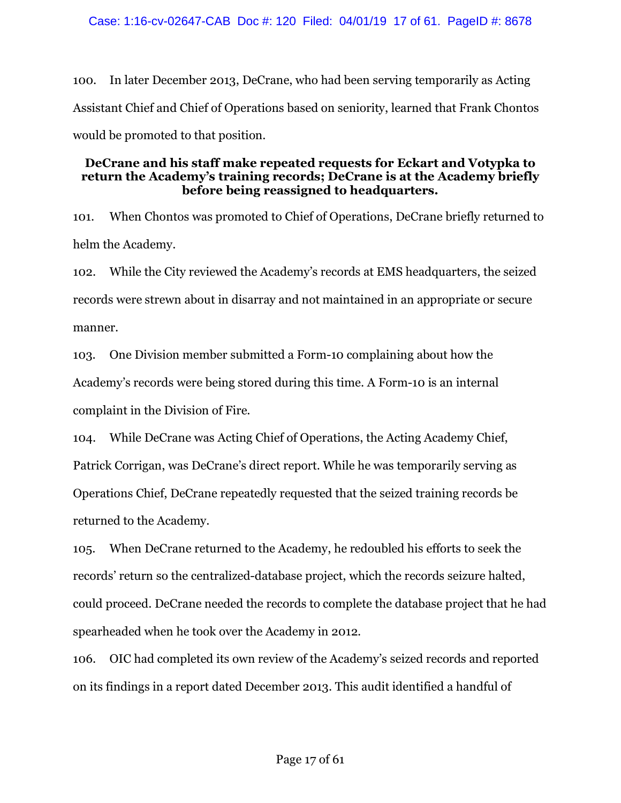100. In later December 2013, DeCrane, who had been serving temporarily as Acting Assistant Chief and Chief of Operations based on seniority, learned that Frank Chontos would be promoted to that position.

## **DeCrane and his staff make repeated requests for Eckart and Votypka to return the Academy's training records; DeCrane is at the Academy briefly before being reassigned to headquarters.**

101. When Chontos was promoted to Chief of Operations, DeCrane briefly returned to helm the Academy.

102. While the City reviewed the Academy's records at EMS headquarters, the seized records were strewn about in disarray and not maintained in an appropriate or secure manner.

103. One Division member submitted a Form-10 complaining about how the Academy's records were being stored during this time. A Form-10 is an internal complaint in the Division of Fire.

104. While DeCrane was Acting Chief of Operations, the Acting Academy Chief, Patrick Corrigan, was DeCrane's direct report. While he was temporarily serving as Operations Chief, DeCrane repeatedly requested that the seized training records be returned to the Academy.

105. When DeCrane returned to the Academy, he redoubled his efforts to seek the records' return so the centralized-database project, which the records seizure halted, could proceed. DeCrane needed the records to complete the database project that he had spearheaded when he took over the Academy in 2012.

106. OIC had completed its own review of the Academy's seized records and reported on its findings in a report dated December 2013. This audit identified a handful of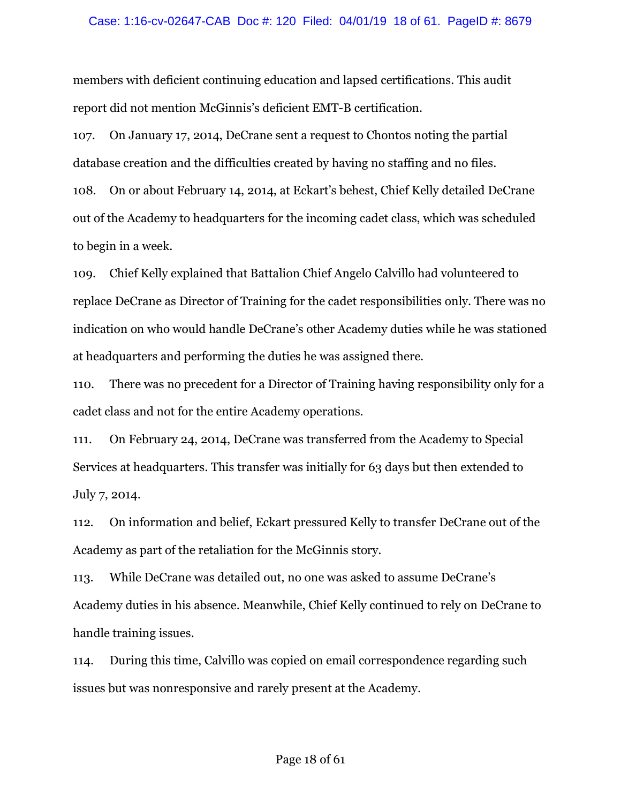### Case: 1:16-cv-02647-CAB Doc #: 120 Filed: 04/01/19 18 of 61. PageID #: 8679

members with deficient continuing education and lapsed certifications. This audit report did not mention McGinnis's deficient EMT-B certification.

107. On January 17, 2014, DeCrane sent a request to Chontos noting the partial database creation and the difficulties created by having no staffing and no files.

108. On or about February 14, 2014, at Eckart's behest, Chief Kelly detailed DeCrane out of the Academy to headquarters for the incoming cadet class, which was scheduled to begin in a week.

109. Chief Kelly explained that Battalion Chief Angelo Calvillo had volunteered to replace DeCrane as Director of Training for the cadet responsibilities only. There was no indication on who would handle DeCrane's other Academy duties while he was stationed at headquarters and performing the duties he was assigned there.

110. There was no precedent for a Director of Training having responsibility only for a cadet class and not for the entire Academy operations.

111. On February 24, 2014, DeCrane was transferred from the Academy to Special Services at headquarters. This transfer was initially for 63 days but then extended to July 7, 2014.

112. On information and belief, Eckart pressured Kelly to transfer DeCrane out of the Academy as part of the retaliation for the McGinnis story.

113. While DeCrane was detailed out, no one was asked to assume DeCrane's Academy duties in his absence. Meanwhile, Chief Kelly continued to rely on DeCrane to handle training issues.

114. During this time, Calvillo was copied on email correspondence regarding such issues but was nonresponsive and rarely present at the Academy.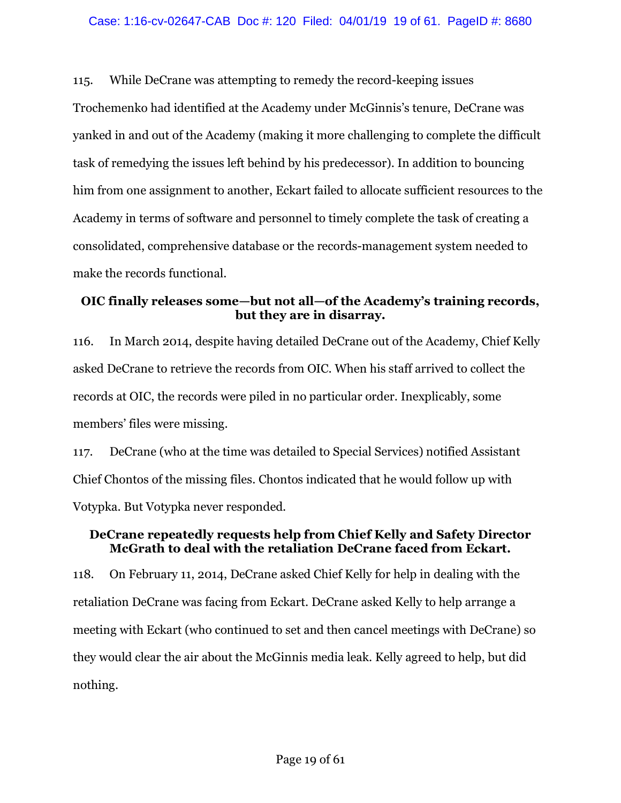115. While DeCrane was attempting to remedy the record-keeping issues Trochemenko had identified at the Academy under McGinnis's tenure, DeCrane was yanked in and out of the Academy (making it more challenging to complete the difficult task of remedying the issues left behind by his predecessor). In addition to bouncing him from one assignment to another, Eckart failed to allocate sufficient resources to the Academy in terms of software and personnel to timely complete the task of creating a consolidated, comprehensive database or the records-management system needed to make the records functional.

# **OIC finally releases some—but not all—of the Academy's training records, but they are in disarray.**

116. In March 2014, despite having detailed DeCrane out of the Academy, Chief Kelly asked DeCrane to retrieve the records from OIC. When his staff arrived to collect the records at OIC, the records were piled in no particular order. Inexplicably, some members' files were missing.

117. DeCrane (who at the time was detailed to Special Services) notified Assistant Chief Chontos of the missing files. Chontos indicated that he would follow up with Votypka. But Votypka never responded.

# **DeCrane repeatedly requests help from Chief Kelly and Safety Director McGrath to deal with the retaliation DeCrane faced from Eckart.**

118. On February 11, 2014, DeCrane asked Chief Kelly for help in dealing with the retaliation DeCrane was facing from Eckart. DeCrane asked Kelly to help arrange a meeting with Eckart (who continued to set and then cancel meetings with DeCrane) so they would clear the air about the McGinnis media leak. Kelly agreed to help, but did nothing.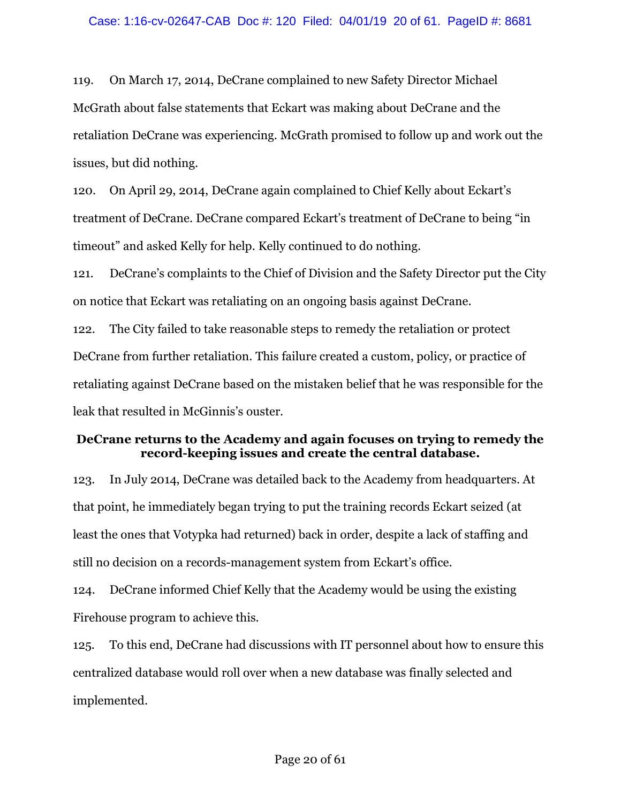119. On March 17, 2014, DeCrane complained to new Safety Director Michael McGrath about false statements that Eckart was making about DeCrane and the retaliation DeCrane was experiencing. McGrath promised to follow up and work out the issues, but did nothing.

120. On April 29, 2014, DeCrane again complained to Chief Kelly about Eckart's treatment of DeCrane. DeCrane compared Eckart's treatment of DeCrane to being "in timeout" and asked Kelly for help. Kelly continued to do nothing.

121. DeCrane's complaints to the Chief of Division and the Safety Director put the City on notice that Eckart was retaliating on an ongoing basis against DeCrane.

122. The City failed to take reasonable steps to remedy the retaliation or protect DeCrane from further retaliation. This failure created a custom, policy, or practice of retaliating against DeCrane based on the mistaken belief that he was responsible for the leak that resulted in McGinnis's ouster.

# **DeCrane returns to the Academy and again focuses on trying to remedy the record-keeping issues and create the central database.**

123. In July 2014, DeCrane was detailed back to the Academy from headquarters. At that point, he immediately began trying to put the training records Eckart seized (at least the ones that Votypka had returned) back in order, despite a lack of staffing and still no decision on a records-management system from Eckart's office.

124. DeCrane informed Chief Kelly that the Academy would be using the existing Firehouse program to achieve this.

125. To this end, DeCrane had discussions with IT personnel about how to ensure this centralized database would roll over when a new database was finally selected and implemented.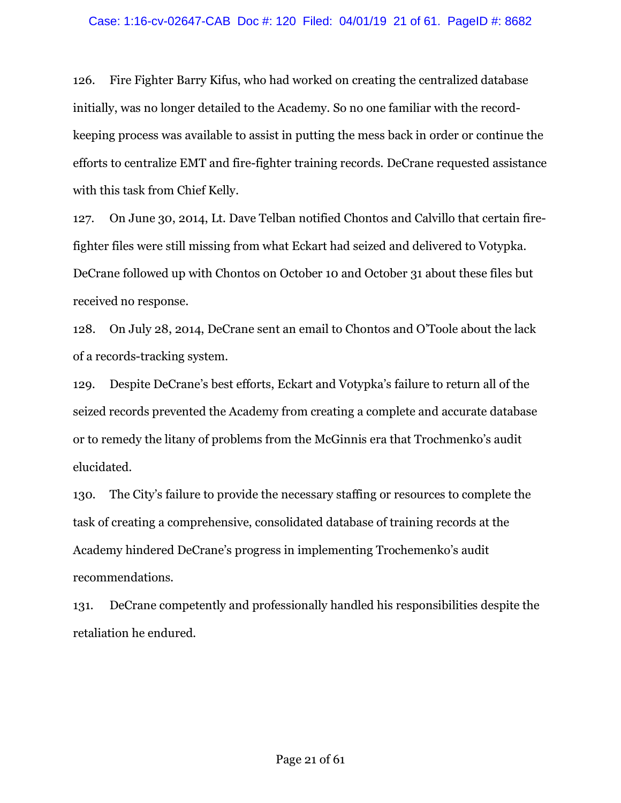### Case: 1:16-cv-02647-CAB Doc #: 120 Filed: 04/01/19 21 of 61. PageID #: 8682

126. Fire Fighter Barry Kifus, who had worked on creating the centralized database initially, was no longer detailed to the Academy. So no one familiar with the recordkeeping process was available to assist in putting the mess back in order or continue the efforts to centralize EMT and fire-fighter training records. DeCrane requested assistance with this task from Chief Kelly.

127. On June 30, 2014, Lt. Dave Telban notified Chontos and Calvillo that certain firefighter files were still missing from what Eckart had seized and delivered to Votypka. DeCrane followed up with Chontos on October 10 and October 31 about these files but received no response.

128. On July 28, 2014, DeCrane sent an email to Chontos and O'Toole about the lack of a records-tracking system.

129. Despite DeCrane's best efforts, Eckart and Votypka's failure to return all of the seized records prevented the Academy from creating a complete and accurate database or to remedy the litany of problems from the McGinnis era that Trochmenko's audit elucidated.

130. The City's failure to provide the necessary staffing or resources to complete the task of creating a comprehensive, consolidated database of training records at the Academy hindered DeCrane's progress in implementing Trochemenko's audit recommendations.

131. DeCrane competently and professionally handled his responsibilities despite the retaliation he endured.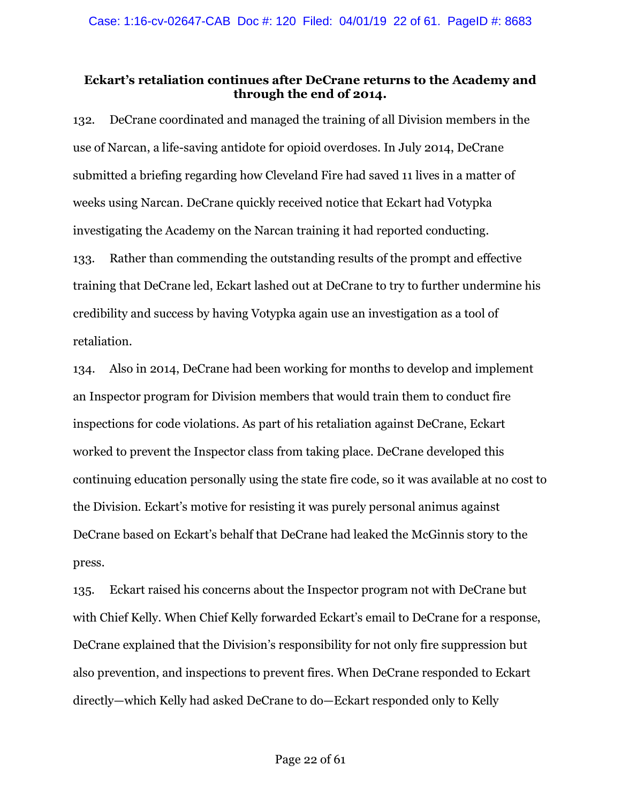# **Eckart's retaliation continues after DeCrane returns to the Academy and through the end of 2014.**

132. DeCrane coordinated and managed the training of all Division members in the use of Narcan, a life-saving antidote for opioid overdoses. In July 2014, DeCrane submitted a briefing regarding how Cleveland Fire had saved 11 lives in a matter of weeks using Narcan. DeCrane quickly received notice that Eckart had Votypka investigating the Academy on the Narcan training it had reported conducting. 133. Rather than commending the outstanding results of the prompt and effective training that DeCrane led, Eckart lashed out at DeCrane to try to further undermine his credibility and success by having Votypka again use an investigation as a tool of retaliation.

134. Also in 2014, DeCrane had been working for months to develop and implement an Inspector program for Division members that would train them to conduct fire inspections for code violations. As part of his retaliation against DeCrane, Eckart worked to prevent the Inspector class from taking place. DeCrane developed this continuing education personally using the state fire code, so it was available at no cost to the Division. Eckart's motive for resisting it was purely personal animus against DeCrane based on Eckart's behalf that DeCrane had leaked the McGinnis story to the press.

135. Eckart raised his concerns about the Inspector program not with DeCrane but with Chief Kelly. When Chief Kelly forwarded Eckart's email to DeCrane for a response, DeCrane explained that the Division's responsibility for not only fire suppression but also prevention, and inspections to prevent fires. When DeCrane responded to Eckart directly—which Kelly had asked DeCrane to do—Eckart responded only to Kelly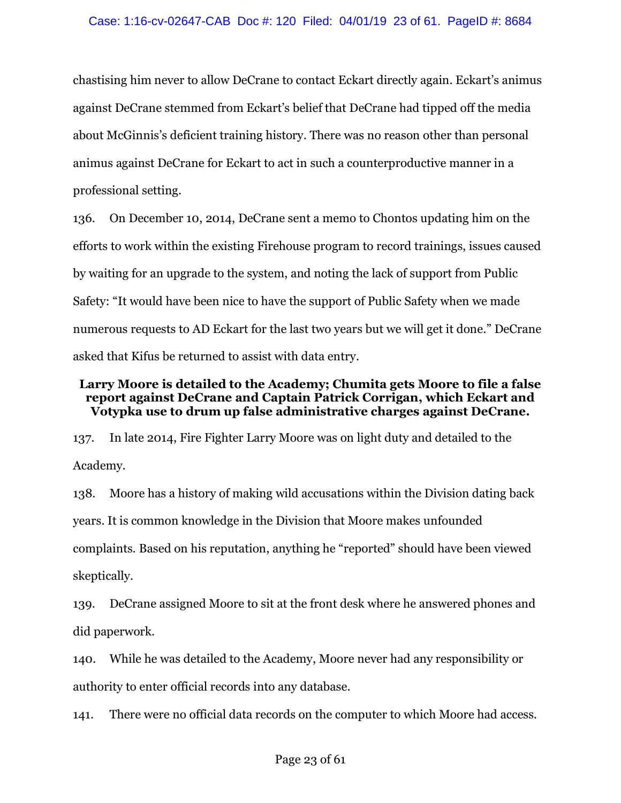chastising him never to allow DeCrane to contact Eckart directly again. Eckart's animus against DeCrane stemmed from Eckart's belief that DeCrane had tipped off the media about McGinnis's deficient training history. There was no reason other than personal animus against DeCrane for Eckart to act in such a counterproductive manner in a professional setting.

136. On December 10, 2014, DeCrane sent a memo to Chontos updating him on the efforts to work within the existing Firehouse program to record trainings, issues caused by waiting for an upgrade to the system, and noting the lack of support from Public Safety: "It would have been nice to have the support of Public Safety when we made numerous requests to AD Eckart for the last two years but we will get it done." DeCrane asked that Kifus be returned to assist with data entry.

# **Larry Moore is detailed to the Academy; Chumita gets Moore to file a false report against DeCrane and Captain Patrick Corrigan, which Eckart and Votypka use to drum up false administrative charges against DeCrane.**

137. In late 2014, Fire Fighter Larry Moore was on light duty and detailed to the Academy.

138. Moore has a history of making wild accusations within the Division dating back years. It is common knowledge in the Division that Moore makes unfounded complaints. Based on his reputation, anything he "reported" should have been viewed skeptically.

139. DeCrane assigned Moore to sit at the front desk where he answered phones and did paperwork.

140. While he was detailed to the Academy, Moore never had any responsibility or authority to enter official records into any database.

141. There were no official data records on the computer to which Moore had access.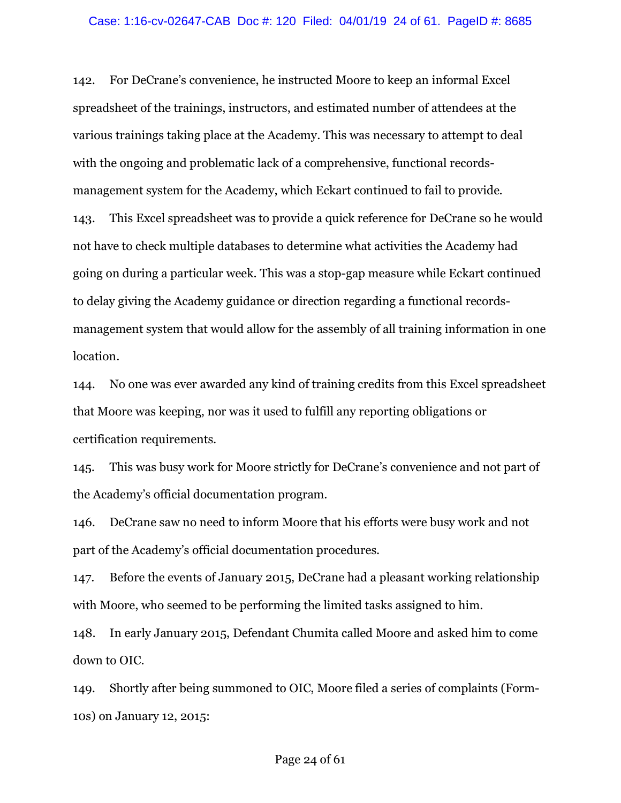#### Case: 1:16-cv-02647-CAB Doc #: 120 Filed: 04/01/19 24 of 61. PageID #: 8685

142. For DeCrane's convenience, he instructed Moore to keep an informal Excel spreadsheet of the trainings, instructors, and estimated number of attendees at the various trainings taking place at the Academy. This was necessary to attempt to deal with the ongoing and problematic lack of a comprehensive, functional recordsmanagement system for the Academy, which Eckart continued to fail to provide. 143. This Excel spreadsheet was to provide a quick reference for DeCrane so he would not have to check multiple databases to determine what activities the Academy had going on during a particular week. This was a stop-gap measure while Eckart continued to delay giving the Academy guidance or direction regarding a functional recordsmanagement system that would allow for the assembly of all training information in one location.

144. No one was ever awarded any kind of training credits from this Excel spreadsheet that Moore was keeping, nor was it used to fulfill any reporting obligations or certification requirements.

145. This was busy work for Moore strictly for DeCrane's convenience and not part of the Academy's official documentation program.

146. DeCrane saw no need to inform Moore that his efforts were busy work and not part of the Academy's official documentation procedures.

147. Before the events of January 2015, DeCrane had a pleasant working relationship with Moore, who seemed to be performing the limited tasks assigned to him.

148. In early January 2015, Defendant Chumita called Moore and asked him to come down to OIC.

149. Shortly after being summoned to OIC, Moore filed a series of complaints (Form-10s) on January 12, 2015: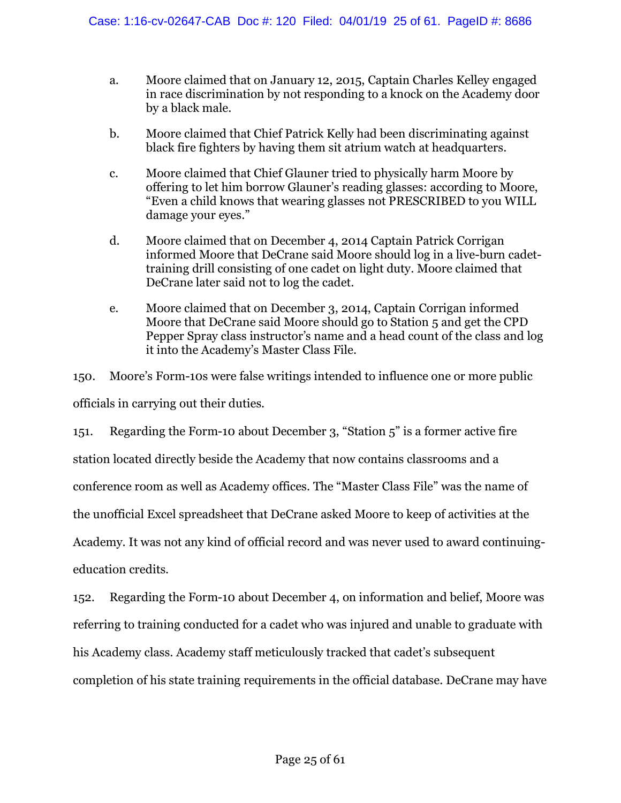- a. Moore claimed that on January 12, 2015, Captain Charles Kelley engaged in race discrimination by not responding to a knock on the Academy door by a black male.
- b. Moore claimed that Chief Patrick Kelly had been discriminating against black fire fighters by having them sit atrium watch at headquarters.
- c. Moore claimed that Chief Glauner tried to physically harm Moore by offering to let him borrow Glauner's reading glasses: according to Moore, "Even a child knows that wearing glasses not PRESCRIBED to you WILL damage your eyes."
- d. Moore claimed that on December 4, 2014 Captain Patrick Corrigan informed Moore that DeCrane said Moore should log in a live-burn cadettraining drill consisting of one cadet on light duty. Moore claimed that DeCrane later said not to log the cadet.
- e. Moore claimed that on December 3, 2014, Captain Corrigan informed Moore that DeCrane said Moore should go to Station 5 and get the CPD Pepper Spray class instructor's name and a head count of the class and log it into the Academy's Master Class File.

150. Moore's Form-10s were false writings intended to influence one or more public officials in carrying out their duties.

151. Regarding the Form-10 about December 3, "Station 5" is a former active fire station located directly beside the Academy that now contains classrooms and a conference room as well as Academy offices. The "Master Class File" was the name of the unofficial Excel spreadsheet that DeCrane asked Moore to keep of activities at the Academy. It was not any kind of official record and was never used to award continuingeducation credits.

152. Regarding the Form-10 about December 4, on information and belief, Moore was referring to training conducted for a cadet who was injured and unable to graduate with his Academy class. Academy staff meticulously tracked that cadet's subsequent completion of his state training requirements in the official database. DeCrane may have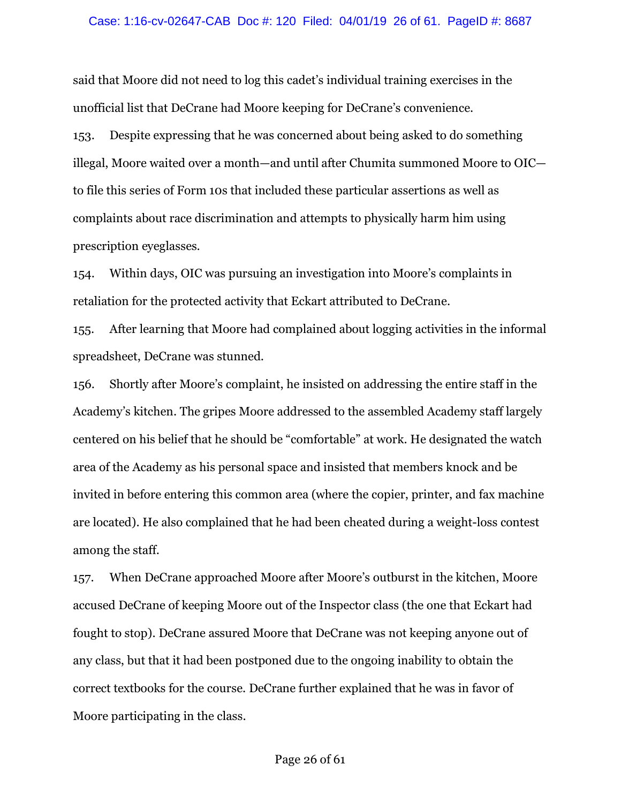#### Case: 1:16-cv-02647-CAB Doc #: 120 Filed: 04/01/19 26 of 61. PageID #: 8687

said that Moore did not need to log this cadet's individual training exercises in the unofficial list that DeCrane had Moore keeping for DeCrane's convenience.

153. Despite expressing that he was concerned about being asked to do something illegal, Moore waited over a month—and until after Chumita summoned Moore to OIC to file this series of Form 10s that included these particular assertions as well as complaints about race discrimination and attempts to physically harm him using prescription eyeglasses.

154. Within days, OIC was pursuing an investigation into Moore's complaints in retaliation for the protected activity that Eckart attributed to DeCrane.

155. After learning that Moore had complained about logging activities in the informal spreadsheet, DeCrane was stunned.

156. Shortly after Moore's complaint, he insisted on addressing the entire staff in the Academy's kitchen. The gripes Moore addressed to the assembled Academy staff largely centered on his belief that he should be "comfortable" at work. He designated the watch area of the Academy as his personal space and insisted that members knock and be invited in before entering this common area (where the copier, printer, and fax machine are located). He also complained that he had been cheated during a weight-loss contest among the staff.

157. When DeCrane approached Moore after Moore's outburst in the kitchen, Moore accused DeCrane of keeping Moore out of the Inspector class (the one that Eckart had fought to stop). DeCrane assured Moore that DeCrane was not keeping anyone out of any class, but that it had been postponed due to the ongoing inability to obtain the correct textbooks for the course. DeCrane further explained that he was in favor of Moore participating in the class.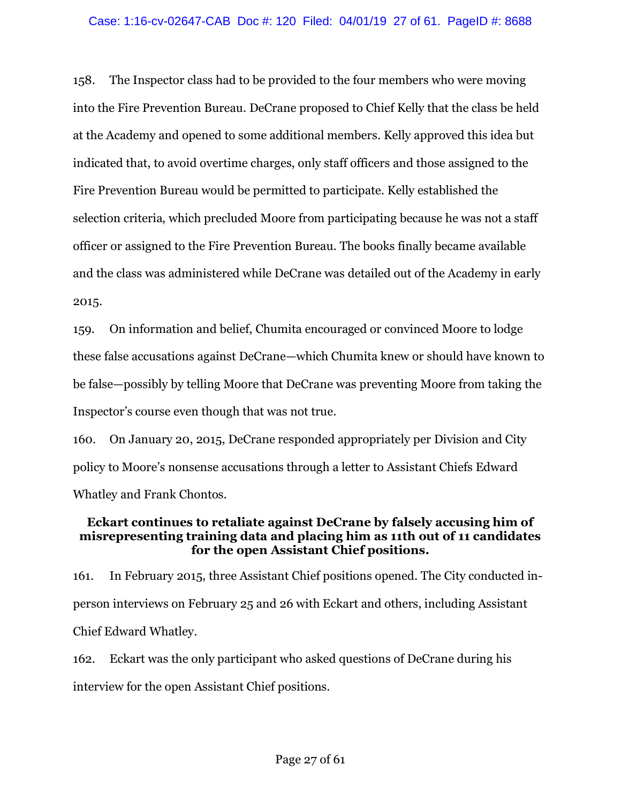158. The Inspector class had to be provided to the four members who were moving into the Fire Prevention Bureau. DeCrane proposed to Chief Kelly that the class be held at the Academy and opened to some additional members. Kelly approved this idea but indicated that, to avoid overtime charges, only staff officers and those assigned to the Fire Prevention Bureau would be permitted to participate. Kelly established the selection criteria, which precluded Moore from participating because he was not a staff officer or assigned to the Fire Prevention Bureau. The books finally became available and the class was administered while DeCrane was detailed out of the Academy in early 2015.

159. On information and belief, Chumita encouraged or convinced Moore to lodge these false accusations against DeCrane—which Chumita knew or should have known to be false—possibly by telling Moore that DeCrane was preventing Moore from taking the Inspector's course even though that was not true.

160. On January 20, 2015, DeCrane responded appropriately per Division and City policy to Moore's nonsense accusations through a letter to Assistant Chiefs Edward Whatley and Frank Chontos.

# **Eckart continues to retaliate against DeCrane by falsely accusing him of misrepresenting training data and placing him as 11th out of 11 candidates for the open Assistant Chief positions.**

161. In February 2015, three Assistant Chief positions opened. The City conducted inperson interviews on February 25 and 26 with Eckart and others, including Assistant Chief Edward Whatley.

162. Eckart was the only participant who asked questions of DeCrane during his interview for the open Assistant Chief positions.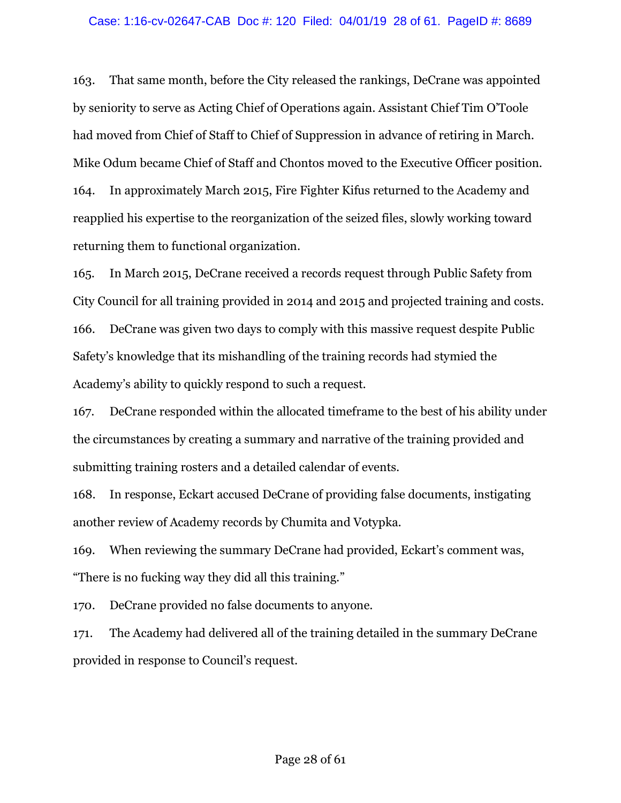### Case: 1:16-cv-02647-CAB Doc #: 120 Filed: 04/01/19 28 of 61. PageID #: 8689

163. That same month, before the City released the rankings, DeCrane was appointed by seniority to serve as Acting Chief of Operations again. Assistant Chief Tim O'Toole had moved from Chief of Staff to Chief of Suppression in advance of retiring in March. Mike Odum became Chief of Staff and Chontos moved to the Executive Officer position. 164. In approximately March 2015, Fire Fighter Kifus returned to the Academy and reapplied his expertise to the reorganization of the seized files, slowly working toward returning them to functional organization.

165. In March 2015, DeCrane received a records request through Public Safety from City Council for all training provided in 2014 and 2015 and projected training and costs. 166. DeCrane was given two days to comply with this massive request despite Public Safety's knowledge that its mishandling of the training records had stymied the Academy's ability to quickly respond to such a request.

167. DeCrane responded within the allocated timeframe to the best of his ability under the circumstances by creating a summary and narrative of the training provided and submitting training rosters and a detailed calendar of events.

168. In response, Eckart accused DeCrane of providing false documents, instigating another review of Academy records by Chumita and Votypka.

169. When reviewing the summary DeCrane had provided, Eckart's comment was, "There is no fucking way they did all this training."

170. DeCrane provided no false documents to anyone.

171. The Academy had delivered all of the training detailed in the summary DeCrane provided in response to Council's request.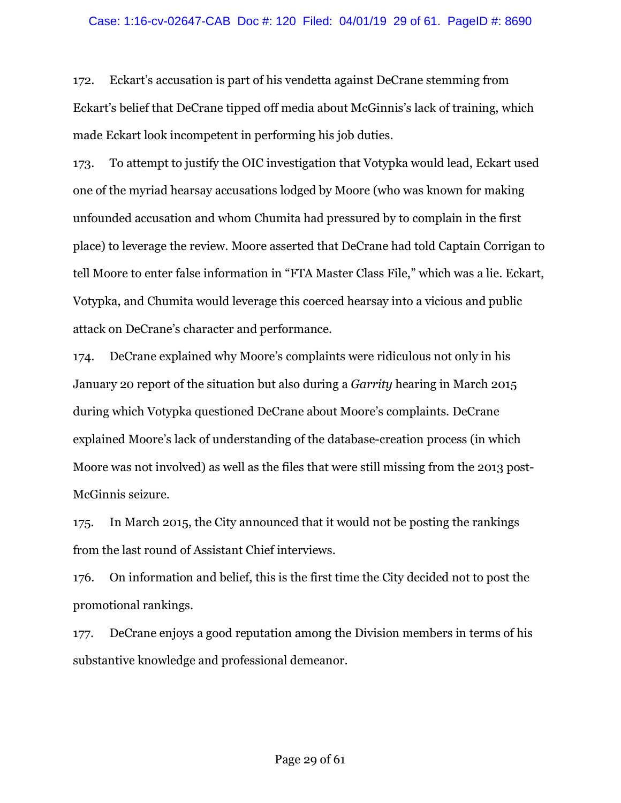### Case: 1:16-cv-02647-CAB Doc #: 120 Filed: 04/01/19 29 of 61. PageID #: 8690

172. Eckart's accusation is part of his vendetta against DeCrane stemming from Eckart's belief that DeCrane tipped off media about McGinnis's lack of training, which made Eckart look incompetent in performing his job duties.

173. To attempt to justify the OIC investigation that Votypka would lead, Eckart used one of the myriad hearsay accusations lodged by Moore (who was known for making unfounded accusation and whom Chumita had pressured by to complain in the first place) to leverage the review. Moore asserted that DeCrane had told Captain Corrigan to tell Moore to enter false information in "FTA Master Class File," which was a lie. Eckart, Votypka, and Chumita would leverage this coerced hearsay into a vicious and public attack on DeCrane's character and performance.

174. DeCrane explained why Moore's complaints were ridiculous not only in his January 20 report of the situation but also during a *Garrity* hearing in March 2015 during which Votypka questioned DeCrane about Moore's complaints. DeCrane explained Moore's lack of understanding of the database-creation process (in which Moore was not involved) as well as the files that were still missing from the 2013 post-McGinnis seizure.

175. In March 2015, the City announced that it would not be posting the rankings from the last round of Assistant Chief interviews.

176. On information and belief, this is the first time the City decided not to post the promotional rankings.

177. DeCrane enjoys a good reputation among the Division members in terms of his substantive knowledge and professional demeanor.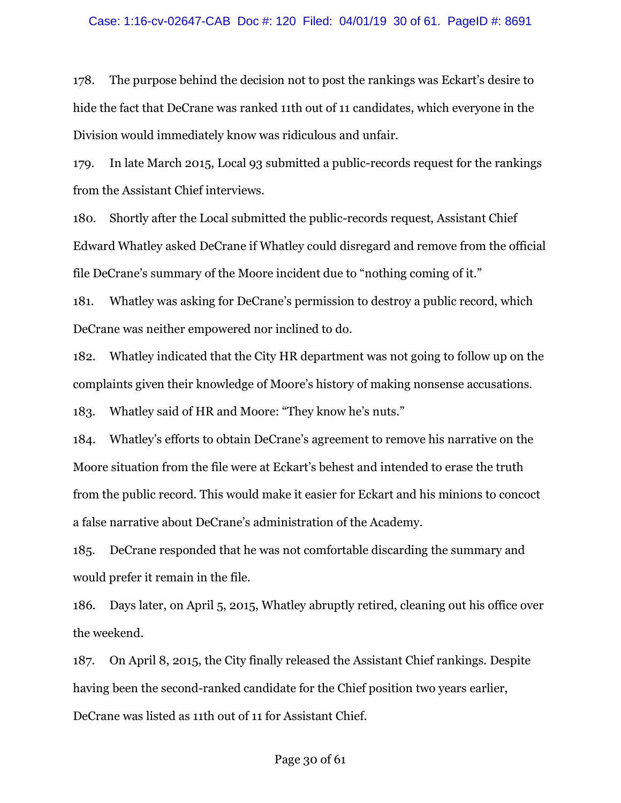#### Case: 1:16-cv-02647-CAB Doc #: 120 Filed: 04/01/19 30 of 61. PageID #: 8691

178. The purpose behind the decision not to post the rankings was Eckart's desire to hide the fact that DeCrane was ranked 11th out of 11 candidates, which everyone in the Division would immediately know was ridiculous and unfair.

179. In late March 2015, Local 93 submitted a public-records request for the rankings from the Assistant Chief interviews.

180. Shortly after the Local submitted the public-records request, Assistant Chief Edward Whatley asked DeCrane if Whatley could disregard and remove from the official file DeCrane's summary of the Moore incident due to "nothing coming of it."

181. Whatley was asking for DeCrane's permission to destroy a public record, which DeCrane was neither empowered nor inclined to do.

182. Whatley indicated that the City HR department was not going to follow up on the complaints given their knowledge of Moore's history of making nonsense accusations.

183. Whatley said of HR and Moore: "They know he's nuts."

184. Whatley's efforts to obtain DeCrane's agreement to remove his narrative on the Moore situation from the file were at Eckart's behest and intended to erase the truth from the public record. This would make it easier for Eckart and his minions to concoct a false narrative about DeCrane's administration of the Academy.

185. DeCrane responded that he was not comfortable discarding the summary and would prefer it remain in the file.

186. Days later, on April 5, 2015, Whatley abruptly retired, cleaning out his office over the weekend.

187. On April 8, 2015, the City finally released the Assistant Chief rankings. Despite having been the second-ranked candidate for the Chief position two years earlier, DeCrane was listed as 11th out of 11 for Assistant Chief.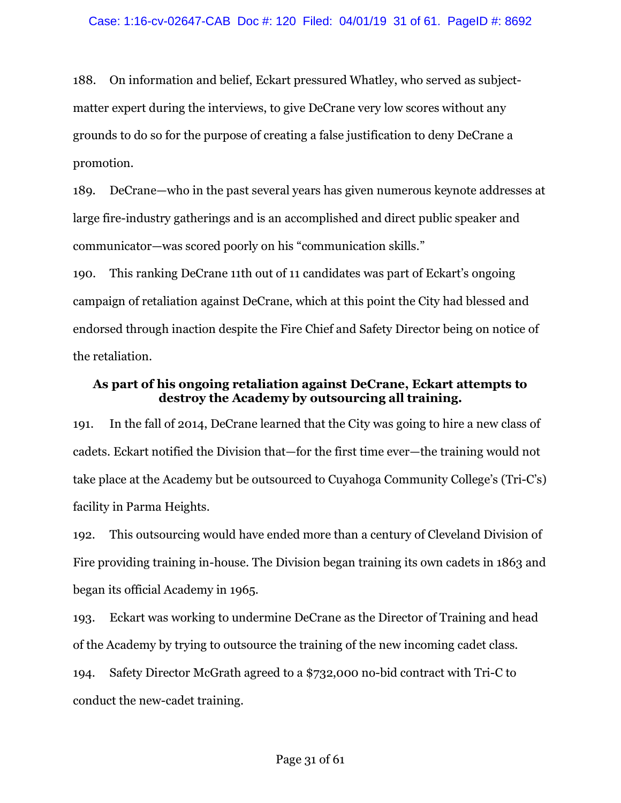188. On information and belief, Eckart pressured Whatley, who served as subjectmatter expert during the interviews, to give DeCrane very low scores without any grounds to do so for the purpose of creating a false justification to deny DeCrane a promotion.

189. DeCrane—who in the past several years has given numerous keynote addresses at large fire-industry gatherings and is an accomplished and direct public speaker and communicator—was scored poorly on his "communication skills."

190. This ranking DeCrane 11th out of 11 candidates was part of Eckart's ongoing campaign of retaliation against DeCrane, which at this point the City had blessed and endorsed through inaction despite the Fire Chief and Safety Director being on notice of the retaliation.

# **As part of his ongoing retaliation against DeCrane, Eckart attempts to destroy the Academy by outsourcing all training.**

191. In the fall of 2014, DeCrane learned that the City was going to hire a new class of cadets. Eckart notified the Division that—for the first time ever—the training would not take place at the Academy but be outsourced to Cuyahoga Community College's (Tri-C's) facility in Parma Heights.

192. This outsourcing would have ended more than a century of Cleveland Division of Fire providing training in-house. The Division began training its own cadets in 1863 and began its official Academy in 1965.

193. Eckart was working to undermine DeCrane as the Director of Training and head of the Academy by trying to outsource the training of the new incoming cadet class.

194. Safety Director McGrath agreed to a \$732,000 no-bid contract with Tri-C to conduct the new-cadet training.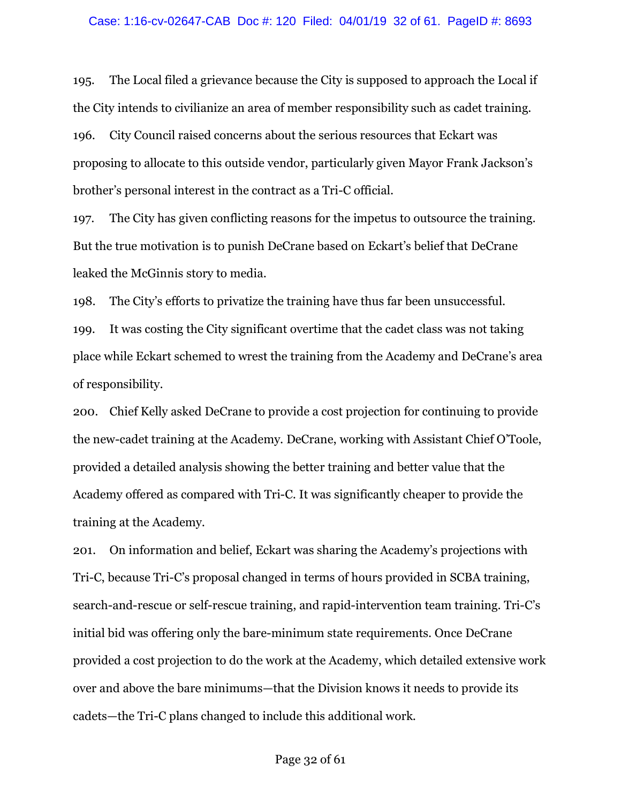195. The Local filed a grievance because the City is supposed to approach the Local if the City intends to civilianize an area of member responsibility such as cadet training. 196. City Council raised concerns about the serious resources that Eckart was proposing to allocate to this outside vendor, particularly given Mayor Frank Jackson's brother's personal interest in the contract as a Tri-C official.

197. The City has given conflicting reasons for the impetus to outsource the training. But the true motivation is to punish DeCrane based on Eckart's belief that DeCrane leaked the McGinnis story to media.

198. The City's efforts to privatize the training have thus far been unsuccessful.

199. It was costing the City significant overtime that the cadet class was not taking place while Eckart schemed to wrest the training from the Academy and DeCrane's area of responsibility.

200. Chief Kelly asked DeCrane to provide a cost projection for continuing to provide the new-cadet training at the Academy. DeCrane, working with Assistant Chief O'Toole, provided a detailed analysis showing the better training and better value that the Academy offered as compared with Tri-C. It was significantly cheaper to provide the training at the Academy.

201. On information and belief, Eckart was sharing the Academy's projections with Tri-C, because Tri-C's proposal changed in terms of hours provided in SCBA training, search-and-rescue or self-rescue training, and rapid-intervention team training. Tri-C's initial bid was offering only the bare-minimum state requirements. Once DeCrane provided a cost projection to do the work at the Academy, which detailed extensive work over and above the bare minimums—that the Division knows it needs to provide its cadets—the Tri-C plans changed to include this additional work.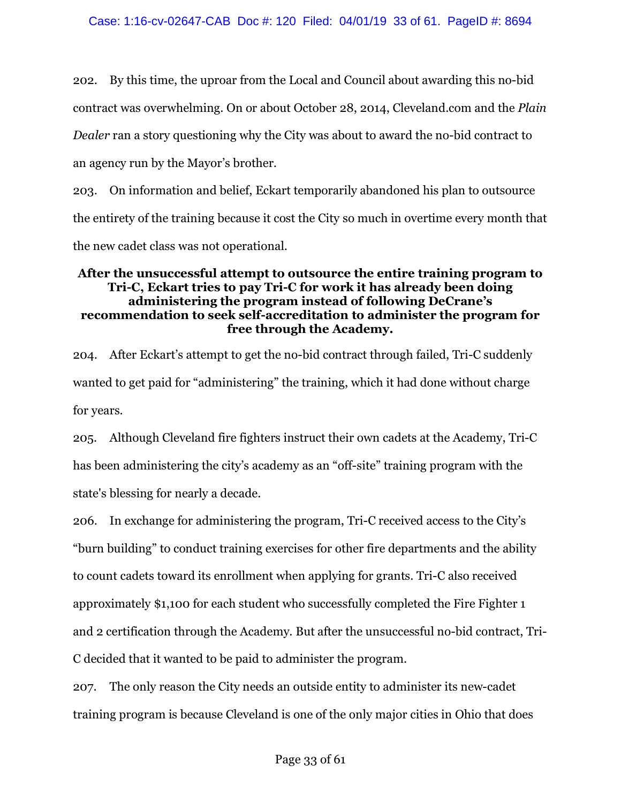202. By this time, the uproar from the Local and Council about awarding this no-bid contract was overwhelming. On or about October 28, 2014, Cleveland.com and the *Plain Dealer* ran a story questioning why the City was about to award the no-bid contract to an agency run by the Mayor's brother.

203. On information and belief, Eckart temporarily abandoned his plan to outsource the entirety of the training because it cost the City so much in overtime every month that the new cadet class was not operational.

# **After the unsuccessful attempt to outsource the entire training program to Tri-C, Eckart tries to pay Tri-C for work it has already been doing administering the program instead of following DeCrane's recommendation to seek self-accreditation to administer the program for free through the Academy.**

204. After Eckart's attempt to get the no-bid contract through failed, Tri-C suddenly wanted to get paid for "administering" the training, which it had done without charge for years.

205. Although Cleveland fire fighters instruct their own cadets at the Academy, Tri-C has been administering the city's academy as an "off-site" training program with the state's blessing for nearly a decade.

206. In exchange for administering the program, Tri-C received access to the City's "burn building" to conduct training exercises for other fire departments and the ability to count cadets toward its enrollment when applying for grants. Tri-C also received approximately \$1,100 for each student who successfully completed the Fire Fighter 1 and 2 certification through the Academy. But after the unsuccessful no-bid contract, Tri-C decided that it wanted to be paid to administer the program.

207. The only reason the City needs an outside entity to administer its new-cadet training program is because Cleveland is one of the only major cities in Ohio that does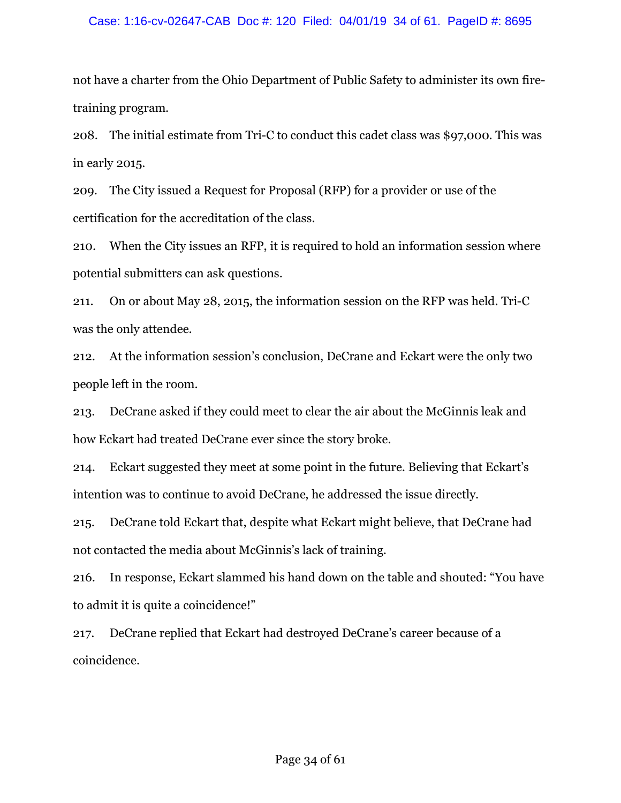### Case: 1:16-cv-02647-CAB Doc #: 120 Filed: 04/01/19 34 of 61. PageID #: 8695

not have a charter from the Ohio Department of Public Safety to administer its own firetraining program.

208. The initial estimate from Tri-C to conduct this cadet class was \$97,000. This was in early 2015.

209. The City issued a Request for Proposal (RFP) for a provider or use of the certification for the accreditation of the class.

210. When the City issues an RFP, it is required to hold an information session where potential submitters can ask questions.

211. On or about May 28, 2015, the information session on the RFP was held. Tri-C was the only attendee.

212. At the information session's conclusion, DeCrane and Eckart were the only two people left in the room.

213. DeCrane asked if they could meet to clear the air about the McGinnis leak and how Eckart had treated DeCrane ever since the story broke.

214. Eckart suggested they meet at some point in the future. Believing that Eckart's intention was to continue to avoid DeCrane, he addressed the issue directly.

215. DeCrane told Eckart that, despite what Eckart might believe, that DeCrane had not contacted the media about McGinnis's lack of training.

216. In response, Eckart slammed his hand down on the table and shouted: "You have to admit it is quite a coincidence!"

217. DeCrane replied that Eckart had destroyed DeCrane's career because of a coincidence.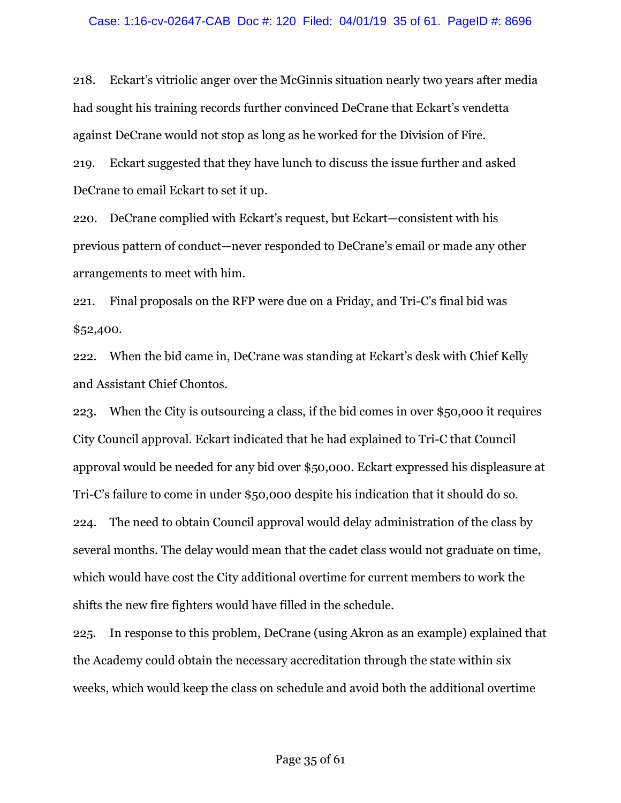#### Case: 1:16-cv-02647-CAB Doc #: 120 Filed: 04/01/19 35 of 61. PageID #: 8696

218. Eckart's vitriolic anger over the McGinnis situation nearly two years after media had sought his training records further convinced DeCrane that Eckart's vendetta against DeCrane would not stop as long as he worked for the Division of Fire.

219. Eckart suggested that they have lunch to discuss the issue further and asked DeCrane to email Eckart to set it up.

220. DeCrane complied with Eckart's request, but Eckart—consistent with his previous pattern of conduct—never responded to DeCrane's email or made any other arrangements to meet with him.

221. Final proposals on the RFP were due on a Friday, and Tri-C's final bid was \$52,400.

222. When the bid came in, DeCrane was standing at Eckart's desk with Chief Kelly and Assistant Chief Chontos.

223. When the City is outsourcing a class, if the bid comes in over \$50,000 it requires City Council approval. Eckart indicated that he had explained to Tri-C that Council approval would be needed for any bid over \$50,000. Eckart expressed his displeasure at Tri-C's failure to come in under \$50,000 despite his indication that it should do so. 224. The need to obtain Council approval would delay administration of the class by several months. The delay would mean that the cadet class would not graduate on time, which would have cost the City additional overtime for current members to work the shifts the new fire fighters would have filled in the schedule.

225. In response to this problem, DeCrane (using Akron as an example) explained that the Academy could obtain the necessary accreditation through the state within six weeks, which would keep the class on schedule and avoid both the additional overtime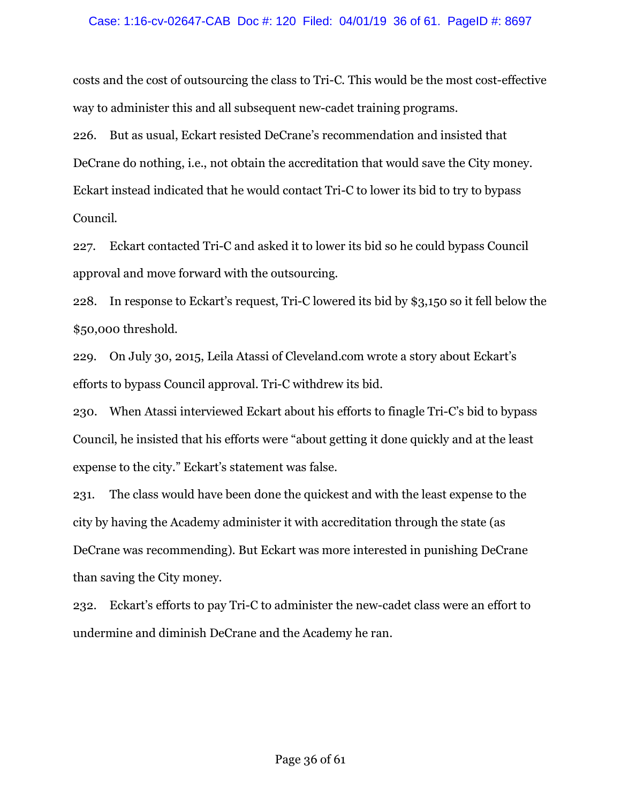### Case: 1:16-cv-02647-CAB Doc #: 120 Filed: 04/01/19 36 of 61. PageID #: 8697

costs and the cost of outsourcing the class to Tri-C. This would be the most cost-effective way to administer this and all subsequent new-cadet training programs.

226. But as usual, Eckart resisted DeCrane's recommendation and insisted that DeCrane do nothing, i.e., not obtain the accreditation that would save the City money. Eckart instead indicated that he would contact Tri-C to lower its bid to try to bypass Council.

227. Eckart contacted Tri-C and asked it to lower its bid so he could bypass Council approval and move forward with the outsourcing.

228. In response to Eckart's request, Tri-C lowered its bid by \$3,150 so it fell below the \$50,000 threshold.

229. On July 30, 2015, Leila Atassi of Cleveland.com wrote a story about Eckart's efforts to bypass Council approval. Tri-C withdrew its bid.

230. When Atassi interviewed Eckart about his efforts to finagle Tri-C's bid to bypass Council, he insisted that his efforts were "about getting it done quickly and at the least expense to the city." Eckart's statement was false.

231. The class would have been done the quickest and with the least expense to the city by having the Academy administer it with accreditation through the state (as DeCrane was recommending). But Eckart was more interested in punishing DeCrane than saving the City money.

232. Eckart's efforts to pay Tri-C to administer the new-cadet class were an effort to undermine and diminish DeCrane and the Academy he ran.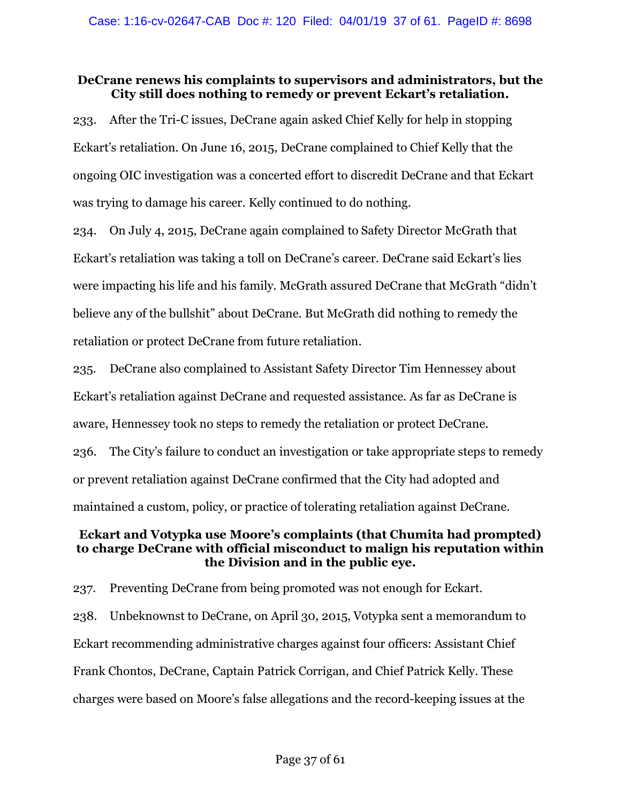# **DeCrane renews his complaints to supervisors and administrators, but the City still does nothing to remedy or prevent Eckart's retaliation.**

233. After the Tri-C issues, DeCrane again asked Chief Kelly for help in stopping Eckart's retaliation. On June 16, 2015, DeCrane complained to Chief Kelly that the ongoing OIC investigation was a concerted effort to discredit DeCrane and that Eckart was trying to damage his career. Kelly continued to do nothing.

234. On July 4, 2015, DeCrane again complained to Safety Director McGrath that Eckart's retaliation was taking a toll on DeCrane's career. DeCrane said Eckart's lies were impacting his life and his family. McGrath assured DeCrane that McGrath "didn't believe any of the bullshit" about DeCrane. But McGrath did nothing to remedy the retaliation or protect DeCrane from future retaliation.

235. DeCrane also complained to Assistant Safety Director Tim Hennessey about Eckart's retaliation against DeCrane and requested assistance. As far as DeCrane is aware, Hennessey took no steps to remedy the retaliation or protect DeCrane. 236. The City's failure to conduct an investigation or take appropriate steps to remedy or prevent retaliation against DeCrane confirmed that the City had adopted and

maintained a custom, policy, or practice of tolerating retaliation against DeCrane.

# **Eckart and Votypka use Moore's complaints (that Chumita had prompted) to charge DeCrane with official misconduct to malign his reputation within the Division and in the public eye.**

237. Preventing DeCrane from being promoted was not enough for Eckart. 238. Unbeknownst to DeCrane, on April 30, 2015, Votypka sent a memorandum to Eckart recommending administrative charges against four officers: Assistant Chief Frank Chontos, DeCrane, Captain Patrick Corrigan, and Chief Patrick Kelly. These charges were based on Moore's false allegations and the record-keeping issues at the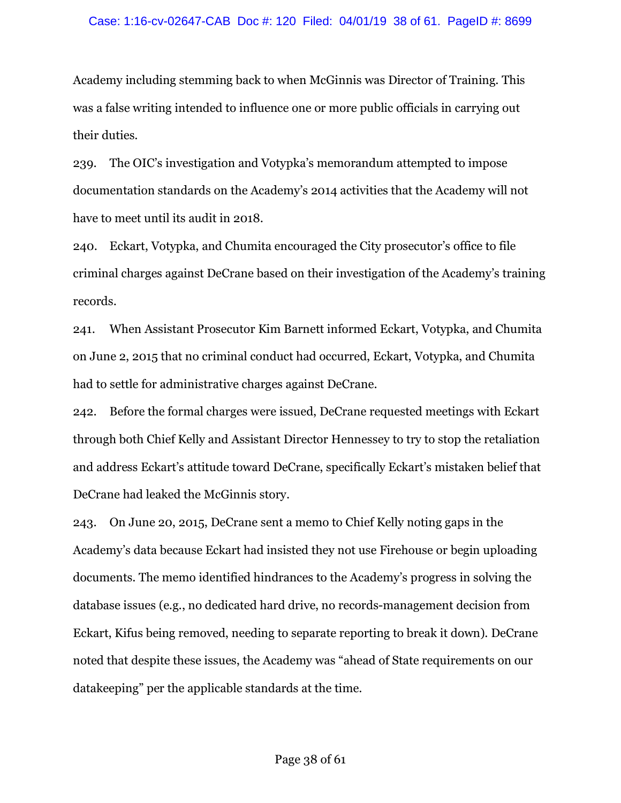Academy including stemming back to when McGinnis was Director of Training. This was a false writing intended to influence one or more public officials in carrying out their duties.

239. The OIC's investigation and Votypka's memorandum attempted to impose documentation standards on the Academy's 2014 activities that the Academy will not have to meet until its audit in 2018.

240. Eckart, Votypka, and Chumita encouraged the City prosecutor's office to file criminal charges against DeCrane based on their investigation of the Academy's training records.

241. When Assistant Prosecutor Kim Barnett informed Eckart, Votypka, and Chumita on June 2, 2015 that no criminal conduct had occurred, Eckart, Votypka, and Chumita had to settle for administrative charges against DeCrane.

242. Before the formal charges were issued, DeCrane requested meetings with Eckart through both Chief Kelly and Assistant Director Hennessey to try to stop the retaliation and address Eckart's attitude toward DeCrane, specifically Eckart's mistaken belief that DeCrane had leaked the McGinnis story.

243. On June 20, 2015, DeCrane sent a memo to Chief Kelly noting gaps in the Academy's data because Eckart had insisted they not use Firehouse or begin uploading documents. The memo identified hindrances to the Academy's progress in solving the database issues (e.g., no dedicated hard drive, no records-management decision from Eckart, Kifus being removed, needing to separate reporting to break it down). DeCrane noted that despite these issues, the Academy was "ahead of State requirements on our datakeeping" per the applicable standards at the time.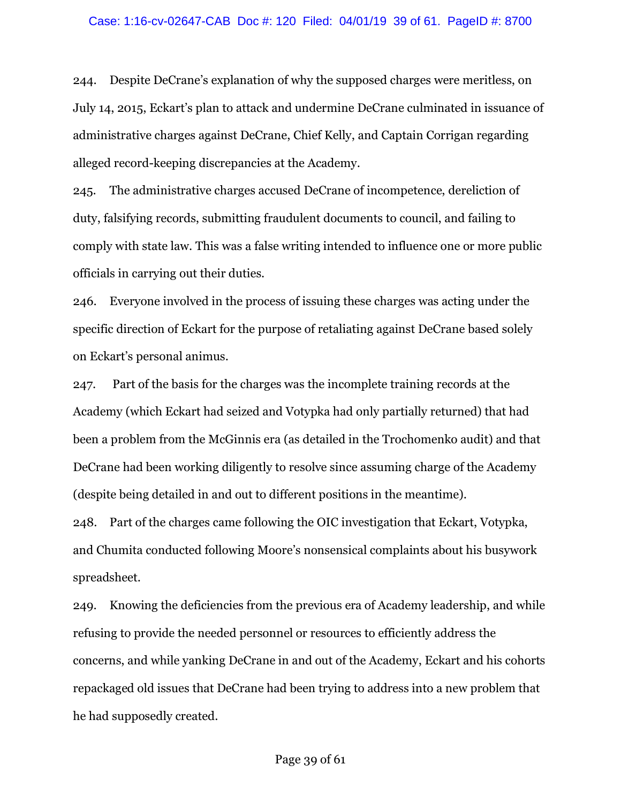#### Case: 1:16-cv-02647-CAB Doc #: 120 Filed: 04/01/19 39 of 61. PageID #: 8700

244. Despite DeCrane's explanation of why the supposed charges were meritless, on July 14, 2015, Eckart's plan to attack and undermine DeCrane culminated in issuance of administrative charges against DeCrane, Chief Kelly, and Captain Corrigan regarding alleged record-keeping discrepancies at the Academy.

245. The administrative charges accused DeCrane of incompetence, dereliction of duty, falsifying records, submitting fraudulent documents to council, and failing to comply with state law. This was a false writing intended to influence one or more public officials in carrying out their duties.

246. Everyone involved in the process of issuing these charges was acting under the specific direction of Eckart for the purpose of retaliating against DeCrane based solely on Eckart's personal animus.

247. Part of the basis for the charges was the incomplete training records at the Academy (which Eckart had seized and Votypka had only partially returned) that had been a problem from the McGinnis era (as detailed in the Trochomenko audit) and that DeCrane had been working diligently to resolve since assuming charge of the Academy (despite being detailed in and out to different positions in the meantime).

248. Part of the charges came following the OIC investigation that Eckart, Votypka, and Chumita conducted following Moore's nonsensical complaints about his busywork spreadsheet.

249. Knowing the deficiencies from the previous era of Academy leadership, and while refusing to provide the needed personnel or resources to efficiently address the concerns, and while yanking DeCrane in and out of the Academy, Eckart and his cohorts repackaged old issues that DeCrane had been trying to address into a new problem that he had supposedly created.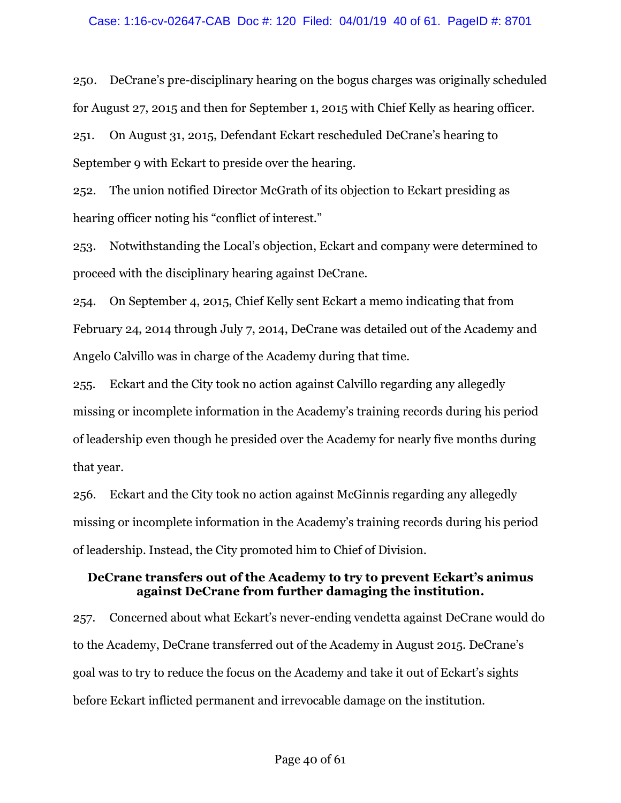250. DeCrane's pre-disciplinary hearing on the bogus charges was originally scheduled for August 27, 2015 and then for September 1, 2015 with Chief Kelly as hearing officer.

251. On August 31, 2015, Defendant Eckart rescheduled DeCrane's hearing to September 9 with Eckart to preside over the hearing.

252. The union notified Director McGrath of its objection to Eckart presiding as hearing officer noting his "conflict of interest."

253. Notwithstanding the Local's objection, Eckart and company were determined to proceed with the disciplinary hearing against DeCrane.

254. On September 4, 2015, Chief Kelly sent Eckart a memo indicating that from February 24, 2014 through July 7, 2014, DeCrane was detailed out of the Academy and Angelo Calvillo was in charge of the Academy during that time.

255. Eckart and the City took no action against Calvillo regarding any allegedly missing or incomplete information in the Academy's training records during his period of leadership even though he presided over the Academy for nearly five months during that year.

256. Eckart and the City took no action against McGinnis regarding any allegedly missing or incomplete information in the Academy's training records during his period of leadership. Instead, the City promoted him to Chief of Division.

## **DeCrane transfers out of the Academy to try to prevent Eckart's animus against DeCrane from further damaging the institution.**

257. Concerned about what Eckart's never-ending vendetta against DeCrane would do to the Academy, DeCrane transferred out of the Academy in August 2015. DeCrane's goal was to try to reduce the focus on the Academy and take it out of Eckart's sights before Eckart inflicted permanent and irrevocable damage on the institution.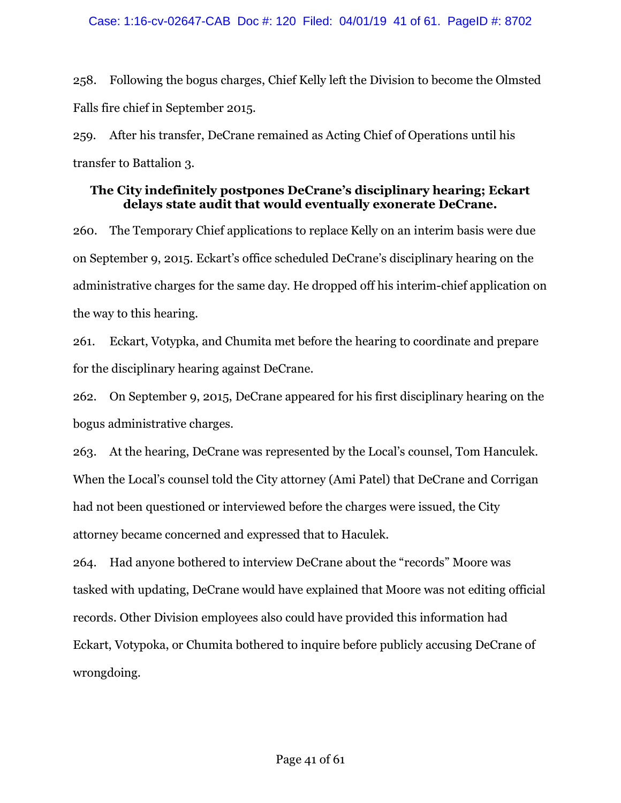258. Following the bogus charges, Chief Kelly left the Division to become the Olmsted Falls fire chief in September 2015.

259. After his transfer, DeCrane remained as Acting Chief of Operations until his transfer to Battalion 3.

# **The City indefinitely postpones DeCrane's disciplinary hearing; Eckart delays state audit that would eventually exonerate DeCrane.**

260. The Temporary Chief applications to replace Kelly on an interim basis were due on September 9, 2015. Eckart's office scheduled DeCrane's disciplinary hearing on the administrative charges for the same day. He dropped off his interim-chief application on the way to this hearing.

261. Eckart, Votypka, and Chumita met before the hearing to coordinate and prepare for the disciplinary hearing against DeCrane.

262. On September 9, 2015, DeCrane appeared for his first disciplinary hearing on the bogus administrative charges.

263. At the hearing, DeCrane was represented by the Local's counsel, Tom Hanculek. When the Local's counsel told the City attorney (Ami Patel) that DeCrane and Corrigan had not been questioned or interviewed before the charges were issued, the City attorney became concerned and expressed that to Haculek.

264. Had anyone bothered to interview DeCrane about the "records" Moore was tasked with updating, DeCrane would have explained that Moore was not editing official records. Other Division employees also could have provided this information had Eckart, Votypoka, or Chumita bothered to inquire before publicly accusing DeCrane of wrongdoing.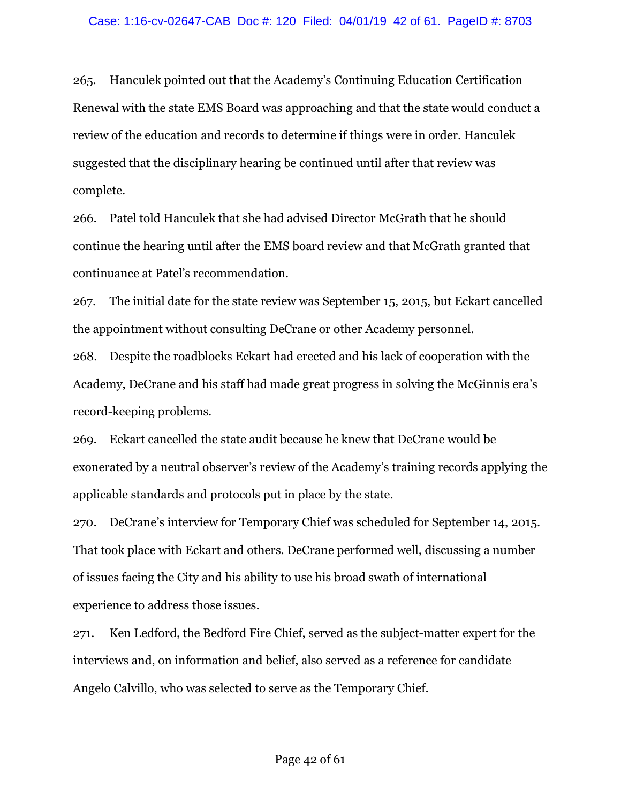265. Hanculek pointed out that the Academy's Continuing Education Certification Renewal with the state EMS Board was approaching and that the state would conduct a review of the education and records to determine if things were in order. Hanculek suggested that the disciplinary hearing be continued until after that review was complete.

266. Patel told Hanculek that she had advised Director McGrath that he should continue the hearing until after the EMS board review and that McGrath granted that continuance at Patel's recommendation.

267. The initial date for the state review was September 15, 2015, but Eckart cancelled the appointment without consulting DeCrane or other Academy personnel.

268. Despite the roadblocks Eckart had erected and his lack of cooperation with the Academy, DeCrane and his staff had made great progress in solving the McGinnis era's record-keeping problems.

269. Eckart cancelled the state audit because he knew that DeCrane would be exonerated by a neutral observer's review of the Academy's training records applying the applicable standards and protocols put in place by the state.

270. DeCrane's interview for Temporary Chief was scheduled for September 14, 2015. That took place with Eckart and others. DeCrane performed well, discussing a number of issues facing the City and his ability to use his broad swath of international experience to address those issues.

271. Ken Ledford, the Bedford Fire Chief, served as the subject-matter expert for the interviews and, on information and belief, also served as a reference for candidate Angelo Calvillo, who was selected to serve as the Temporary Chief.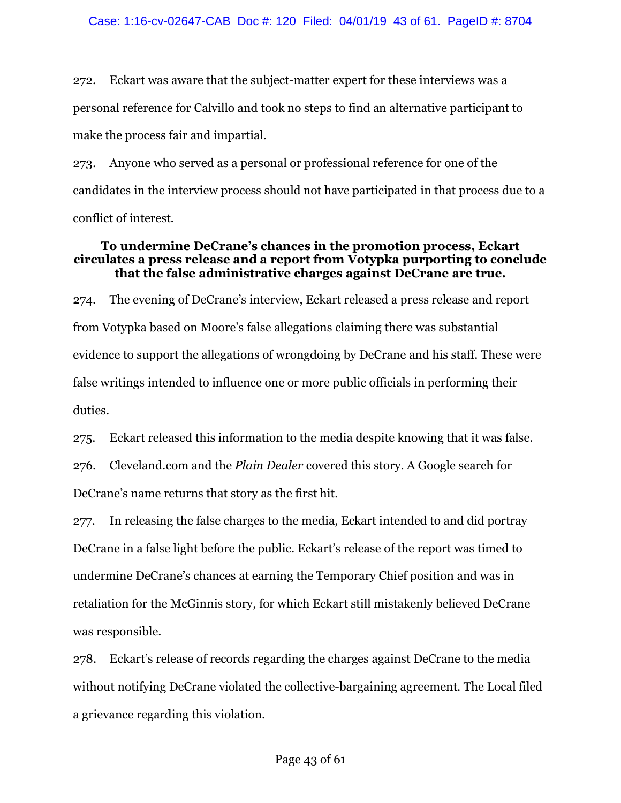272. Eckart was aware that the subject-matter expert for these interviews was a personal reference for Calvillo and took no steps to find an alternative participant to make the process fair and impartial.

273. Anyone who served as a personal or professional reference for one of the candidates in the interview process should not have participated in that process due to a conflict of interest.

# **To undermine DeCrane's chances in the promotion process, Eckart circulates a press release and a report from Votypka purporting to conclude that the false administrative charges against DeCrane are true.**

274. The evening of DeCrane's interview, Eckart released a press release and report from Votypka based on Moore's false allegations claiming there was substantial evidence to support the allegations of wrongdoing by DeCrane and his staff. These were false writings intended to influence one or more public officials in performing their duties.

275. Eckart released this information to the media despite knowing that it was false.

276. Cleveland.com and the *Plain Dealer* covered this story. A Google search for DeCrane's name returns that story as the first hit.

277. In releasing the false charges to the media, Eckart intended to and did portray DeCrane in a false light before the public. Eckart's release of the report was timed to undermine DeCrane's chances at earning the Temporary Chief position and was in retaliation for the McGinnis story, for which Eckart still mistakenly believed DeCrane was responsible.

278. Eckart's release of records regarding the charges against DeCrane to the media without notifying DeCrane violated the collective-bargaining agreement. The Local filed a grievance regarding this violation.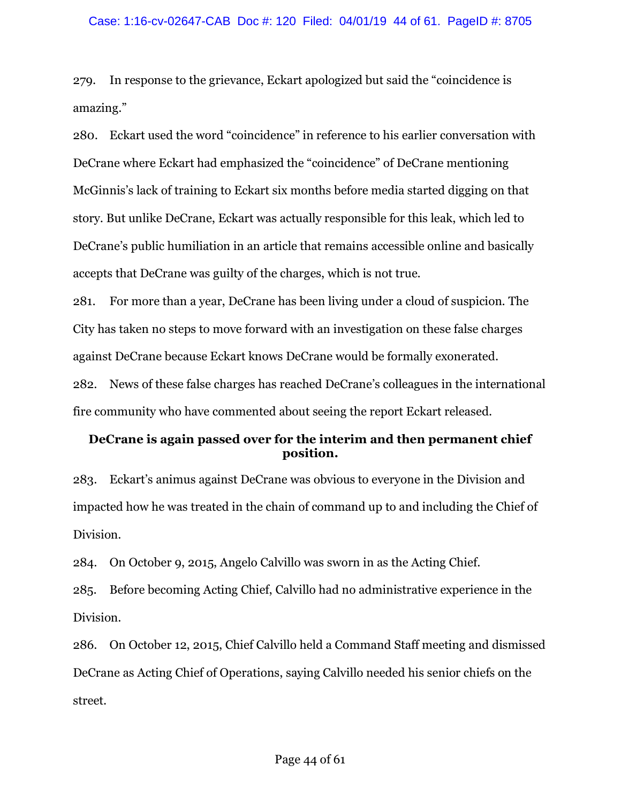279. In response to the grievance, Eckart apologized but said the "coincidence is amazing."

280. Eckart used the word "coincidence" in reference to his earlier conversation with DeCrane where Eckart had emphasized the "coincidence" of DeCrane mentioning McGinnis's lack of training to Eckart six months before media started digging on that story. But unlike DeCrane, Eckart was actually responsible for this leak, which led to DeCrane's public humiliation in an article that remains accessible online and basically accepts that DeCrane was guilty of the charges, which is not true.

281. For more than a year, DeCrane has been living under a cloud of suspicion. The City has taken no steps to move forward with an investigation on these false charges against DeCrane because Eckart knows DeCrane would be formally exonerated. 282. News of these false charges has reached DeCrane's colleagues in the international

fire community who have commented about seeing the report Eckart released.

# **DeCrane is again passed over for the interim and then permanent chief position.**

283. Eckart's animus against DeCrane was obvious to everyone in the Division and impacted how he was treated in the chain of command up to and including the Chief of Division.

284. On October 9, 2015, Angelo Calvillo was sworn in as the Acting Chief.

285. Before becoming Acting Chief, Calvillo had no administrative experience in the Division.

286. On October 12, 2015, Chief Calvillo held a Command Staff meeting and dismissed DeCrane as Acting Chief of Operations, saying Calvillo needed his senior chiefs on the street.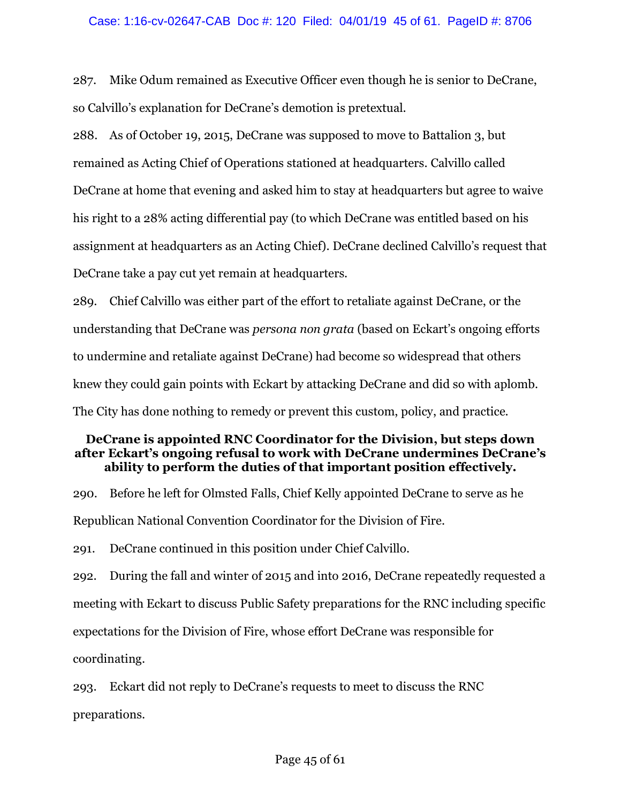287. Mike Odum remained as Executive Officer even though he is senior to DeCrane, so Calvillo's explanation for DeCrane's demotion is pretextual.

288. As of October 19, 2015, DeCrane was supposed to move to Battalion 3, but remained as Acting Chief of Operations stationed at headquarters. Calvillo called DeCrane at home that evening and asked him to stay at headquarters but agree to waive his right to a 28% acting differential pay (to which DeCrane was entitled based on his assignment at headquarters as an Acting Chief). DeCrane declined Calvillo's request that DeCrane take a pay cut yet remain at headquarters.

289. Chief Calvillo was either part of the effort to retaliate against DeCrane, or the understanding that DeCrane was *persona non grata* (based on Eckart's ongoing efforts to undermine and retaliate against DeCrane) had become so widespread that others knew they could gain points with Eckart by attacking DeCrane and did so with aplomb. The City has done nothing to remedy or prevent this custom, policy, and practice.

## **DeCrane is appointed RNC Coordinator for the Division, but steps down after Eckart's ongoing refusal to work with DeCrane undermines DeCrane's ability to perform the duties of that important position effectively.**

290. Before he left for Olmsted Falls, Chief Kelly appointed DeCrane to serve as he Republican National Convention Coordinator for the Division of Fire.

291. DeCrane continued in this position under Chief Calvillo.

292. During the fall and winter of 2015 and into 2016, DeCrane repeatedly requested a meeting with Eckart to discuss Public Safety preparations for the RNC including specific expectations for the Division of Fire, whose effort DeCrane was responsible for coordinating.

293. Eckart did not reply to DeCrane's requests to meet to discuss the RNC preparations.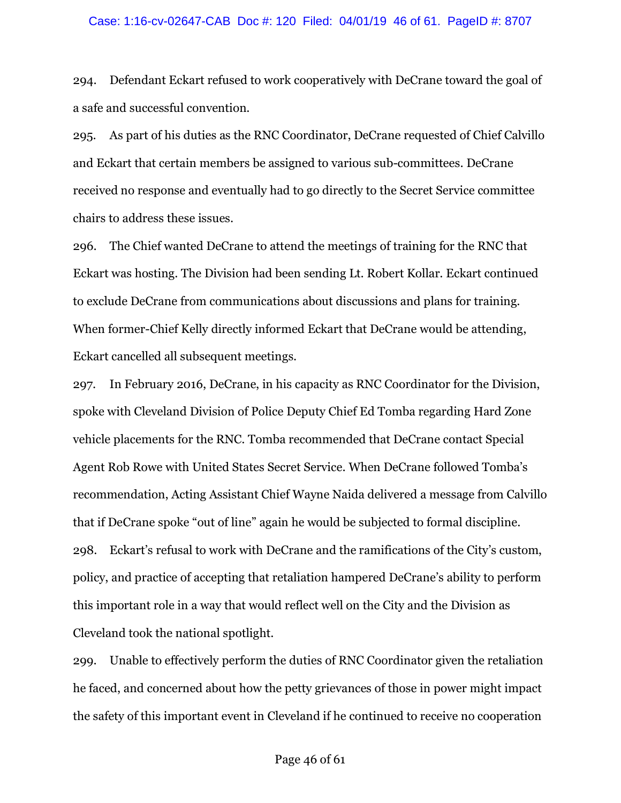### Case: 1:16-cv-02647-CAB Doc #: 120 Filed: 04/01/19 46 of 61. PageID #: 8707

294. Defendant Eckart refused to work cooperatively with DeCrane toward the goal of a safe and successful convention.

295. As part of his duties as the RNC Coordinator, DeCrane requested of Chief Calvillo and Eckart that certain members be assigned to various sub-committees. DeCrane received no response and eventually had to go directly to the Secret Service committee chairs to address these issues.

296. The Chief wanted DeCrane to attend the meetings of training for the RNC that Eckart was hosting. The Division had been sending Lt. Robert Kollar. Eckart continued to exclude DeCrane from communications about discussions and plans for training. When former-Chief Kelly directly informed Eckart that DeCrane would be attending, Eckart cancelled all subsequent meetings.

297. In February 2016, DeCrane, in his capacity as RNC Coordinator for the Division, spoke with Cleveland Division of Police Deputy Chief Ed Tomba regarding Hard Zone vehicle placements for the RNC. Tomba recommended that DeCrane contact Special Agent Rob Rowe with United States Secret Service. When DeCrane followed Tomba's recommendation, Acting Assistant Chief Wayne Naida delivered a message from Calvillo that if DeCrane spoke "out of line" again he would be subjected to formal discipline. 298. Eckart's refusal to work with DeCrane and the ramifications of the City's custom, policy, and practice of accepting that retaliation hampered DeCrane's ability to perform this important role in a way that would reflect well on the City and the Division as Cleveland took the national spotlight.

299. Unable to effectively perform the duties of RNC Coordinator given the retaliation he faced, and concerned about how the petty grievances of those in power might impact the safety of this important event in Cleveland if he continued to receive no cooperation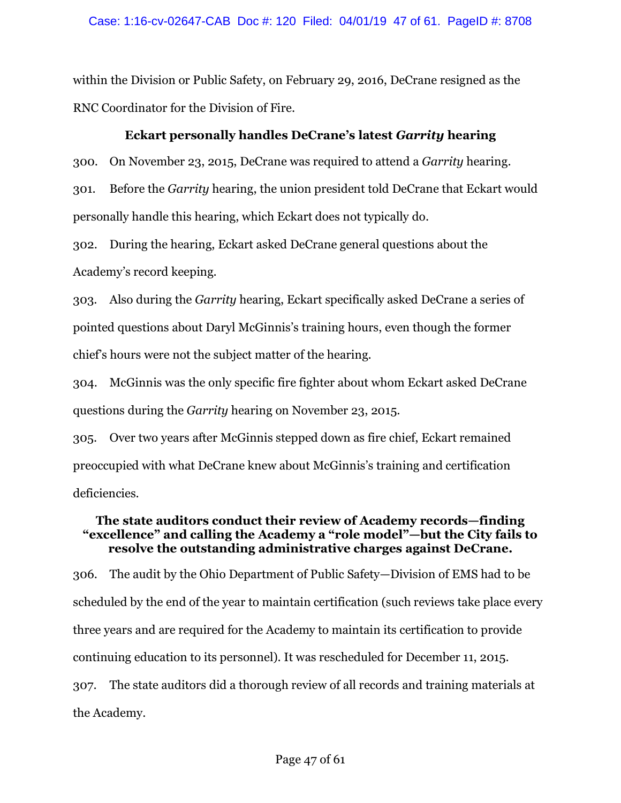### Case: 1:16-cv-02647-CAB Doc #: 120 Filed: 04/01/19 47 of 61. PageID #: 8708

within the Division or Public Safety, on February 29, 2016, DeCrane resigned as the RNC Coordinator for the Division of Fire.

### **Eckart personally handles DeCrane's latest** *Garrity* **hearing**

300. On November 23, 2015, DeCrane was required to attend a *Garrity* hearing.

301. Before the *Garrity* hearing, the union president told DeCrane that Eckart would personally handle this hearing, which Eckart does not typically do.

302. During the hearing, Eckart asked DeCrane general questions about the Academy's record keeping.

303. Also during the *Garrity* hearing, Eckart specifically asked DeCrane a series of pointed questions about Daryl McGinnis's training hours, even though the former chief's hours were not the subject matter of the hearing.

304. McGinnis was the only specific fire fighter about whom Eckart asked DeCrane questions during the *Garrity* hearing on November 23, 2015.

305. Over two years after McGinnis stepped down as fire chief, Eckart remained preoccupied with what DeCrane knew about McGinnis's training and certification deficiencies.

# **The state auditors conduct their review of Academy records—finding "excellence" and calling the Academy a "role model"—but the City fails to resolve the outstanding administrative charges against DeCrane.**

306. The audit by the Ohio Department of Public Safety—Division of EMS had to be scheduled by the end of the year to maintain certification (such reviews take place every three years and are required for the Academy to maintain its certification to provide continuing education to its personnel). It was rescheduled for December 11, 2015. 307. The state auditors did a thorough review of all records and training materials at the Academy.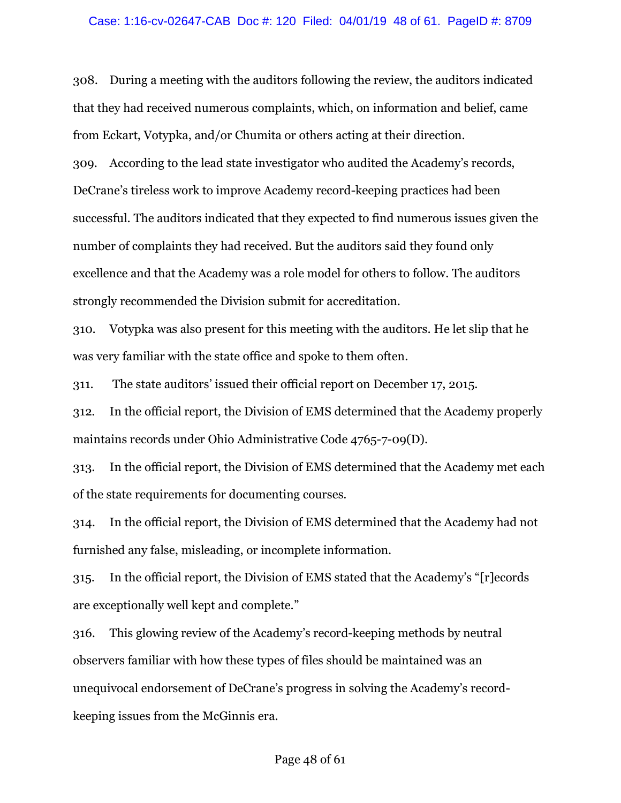### Case: 1:16-cv-02647-CAB Doc #: 120 Filed: 04/01/19 48 of 61. PageID #: 8709

308. During a meeting with the auditors following the review, the auditors indicated that they had received numerous complaints, which, on information and belief, came from Eckart, Votypka, and/or Chumita or others acting at their direction.

309. According to the lead state investigator who audited the Academy's records, DeCrane's tireless work to improve Academy record-keeping practices had been successful. The auditors indicated that they expected to find numerous issues given the number of complaints they had received. But the auditors said they found only excellence and that the Academy was a role model for others to follow. The auditors strongly recommended the Division submit for accreditation.

310. Votypka was also present for this meeting with the auditors. He let slip that he was very familiar with the state office and spoke to them often.

311. The state auditors' issued their official report on December 17, 2015.

312. In the official report, the Division of EMS determined that the Academy properly maintains records under Ohio Administrative Code 4765-7-09(D).

313. In the official report, the Division of EMS determined that the Academy met each of the state requirements for documenting courses.

314. In the official report, the Division of EMS determined that the Academy had not furnished any false, misleading, or incomplete information.

315. In the official report, the Division of EMS stated that the Academy's "[r]ecords are exceptionally well kept and complete."

316. This glowing review of the Academy's record-keeping methods by neutral observers familiar with how these types of files should be maintained was an unequivocal endorsement of DeCrane's progress in solving the Academy's recordkeeping issues from the McGinnis era.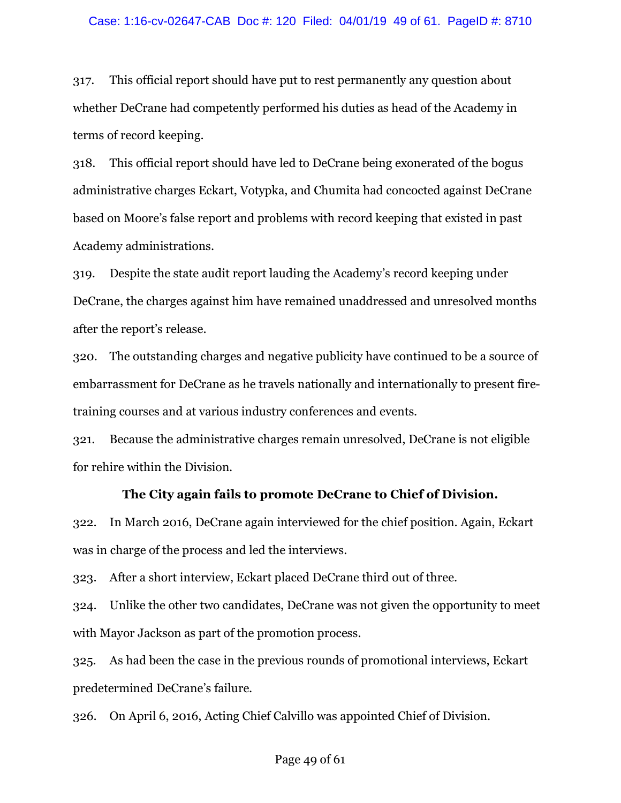317. This official report should have put to rest permanently any question about whether DeCrane had competently performed his duties as head of the Academy in terms of record keeping.

318. This official report should have led to DeCrane being exonerated of the bogus administrative charges Eckart, Votypka, and Chumita had concocted against DeCrane based on Moore's false report and problems with record keeping that existed in past Academy administrations.

319. Despite the state audit report lauding the Academy's record keeping under DeCrane, the charges against him have remained unaddressed and unresolved months after the report's release.

320. The outstanding charges and negative publicity have continued to be a source of embarrassment for DeCrane as he travels nationally and internationally to present firetraining courses and at various industry conferences and events.

321. Because the administrative charges remain unresolved, DeCrane is not eligible for rehire within the Division.

### **The City again fails to promote DeCrane to Chief of Division.**

322. In March 2016, DeCrane again interviewed for the chief position. Again, Eckart was in charge of the process and led the interviews.

323. After a short interview, Eckart placed DeCrane third out of three.

324. Unlike the other two candidates, DeCrane was not given the opportunity to meet with Mayor Jackson as part of the promotion process.

325. As had been the case in the previous rounds of promotional interviews, Eckart predetermined DeCrane's failure.

326. On April 6, 2016, Acting Chief Calvillo was appointed Chief of Division.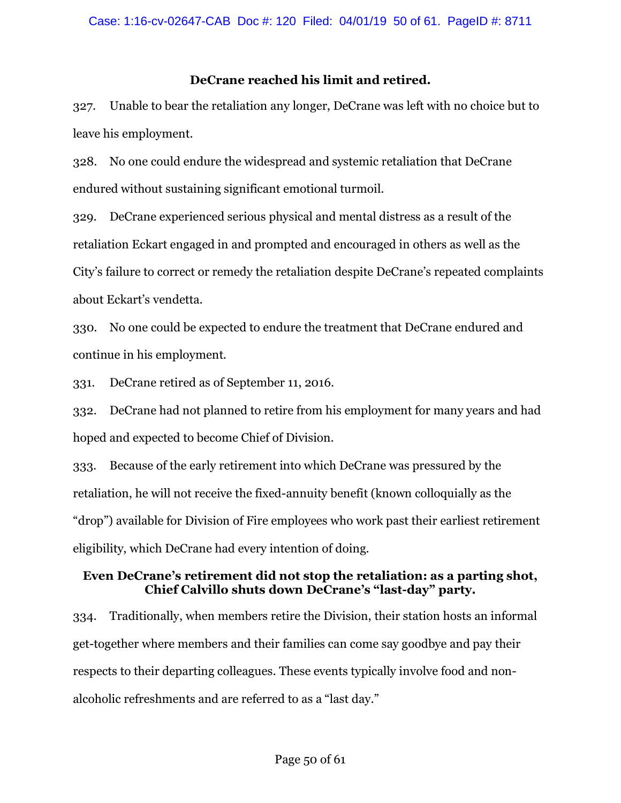# **DeCrane reached his limit and retired.**

327. Unable to bear the retaliation any longer, DeCrane was left with no choice but to leave his employment.

328. No one could endure the widespread and systemic retaliation that DeCrane endured without sustaining significant emotional turmoil.

329. DeCrane experienced serious physical and mental distress as a result of the retaliation Eckart engaged in and prompted and encouraged in others as well as the City's failure to correct or remedy the retaliation despite DeCrane's repeated complaints about Eckart's vendetta.

330. No one could be expected to endure the treatment that DeCrane endured and continue in his employment.

331. DeCrane retired as of September 11, 2016.

332. DeCrane had not planned to retire from his employment for many years and had hoped and expected to become Chief of Division.

333. Because of the early retirement into which DeCrane was pressured by the retaliation, he will not receive the fixed-annuity benefit (known colloquially as the "drop") available for Division of Fire employees who work past their earliest retirement eligibility, which DeCrane had every intention of doing.

# **Even DeCrane's retirement did not stop the retaliation: as a parting shot, Chief Calvillo shuts down DeCrane's "last-day" party.**

334. Traditionally, when members retire the Division, their station hosts an informal get-together where members and their families can come say goodbye and pay their respects to their departing colleagues. These events typically involve food and nonalcoholic refreshments and are referred to as a "last day."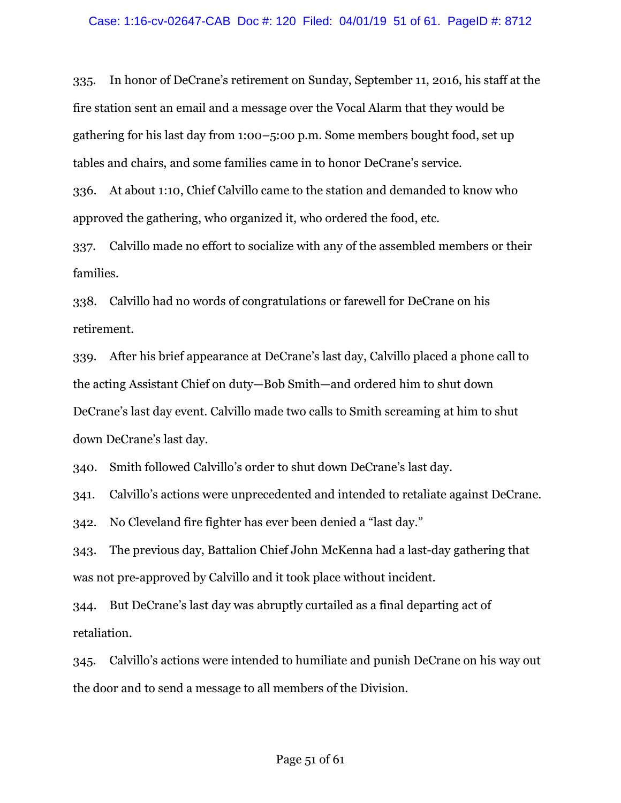335. In honor of DeCrane's retirement on Sunday, September 11, 2016, his staff at the fire station sent an email and a message over the Vocal Alarm that they would be gathering for his last day from 1:00–5:00 p.m. Some members bought food, set up tables and chairs, and some families came in to honor DeCrane's service.

336. At about 1:10, Chief Calvillo came to the station and demanded to know who approved the gathering, who organized it, who ordered the food, etc.

337. Calvillo made no effort to socialize with any of the assembled members or their families.

338. Calvillo had no words of congratulations or farewell for DeCrane on his retirement.

339. After his brief appearance at DeCrane's last day, Calvillo placed a phone call to the acting Assistant Chief on duty—Bob Smith—and ordered him to shut down DeCrane's last day event. Calvillo made two calls to Smith screaming at him to shut down DeCrane's last day.

340. Smith followed Calvillo's order to shut down DeCrane's last day.

341. Calvillo's actions were unprecedented and intended to retaliate against DeCrane.

342. No Cleveland fire fighter has ever been denied a "last day."

343. The previous day, Battalion Chief John McKenna had a last-day gathering that was not pre-approved by Calvillo and it took place without incident.

344. But DeCrane's last day was abruptly curtailed as a final departing act of retaliation.

345. Calvillo's actions were intended to humiliate and punish DeCrane on his way out the door and to send a message to all members of the Division.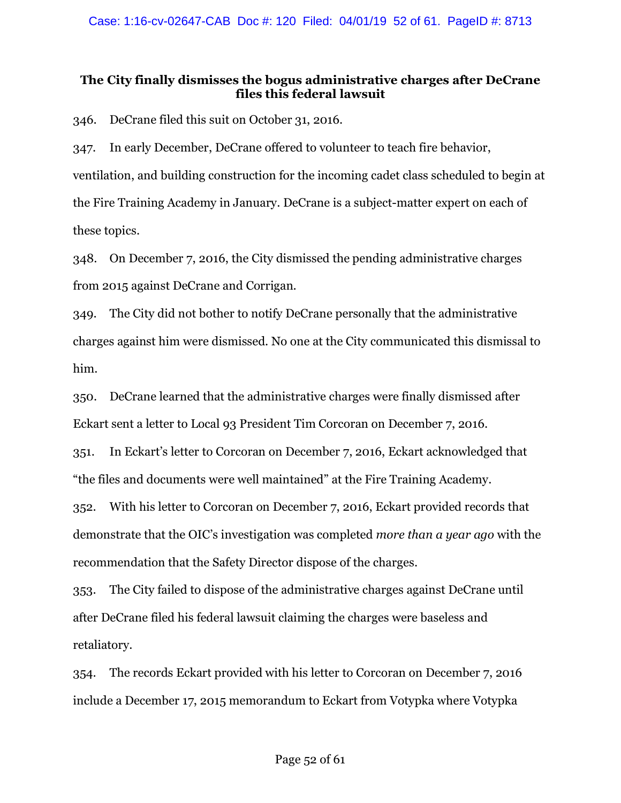# **The City finally dismisses the bogus administrative charges after DeCrane files this federal lawsuit**

346. DeCrane filed this suit on October 31, 2016.

347. In early December, DeCrane offered to volunteer to teach fire behavior, ventilation, and building construction for the incoming cadet class scheduled to begin at the Fire Training Academy in January. DeCrane is a subject-matter expert on each of these topics.

348. On December 7, 2016, the City dismissed the pending administrative charges from 2015 against DeCrane and Corrigan.

349. The City did not bother to notify DeCrane personally that the administrative charges against him were dismissed. No one at the City communicated this dismissal to him.

350. DeCrane learned that the administrative charges were finally dismissed after Eckart sent a letter to Local 93 President Tim Corcoran on December 7, 2016.

351. In Eckart's letter to Corcoran on December 7, 2016, Eckart acknowledged that "the files and documents were well maintained" at the Fire Training Academy.

352. With his letter to Corcoran on December 7, 2016, Eckart provided records that demonstrate that the OIC's investigation was completed *more than a year ago* with the recommendation that the Safety Director dispose of the charges.

353. The City failed to dispose of the administrative charges against DeCrane until after DeCrane filed his federal lawsuit claiming the charges were baseless and retaliatory.

354. The records Eckart provided with his letter to Corcoran on December 7, 2016 include a December 17, 2015 memorandum to Eckart from Votypka where Votypka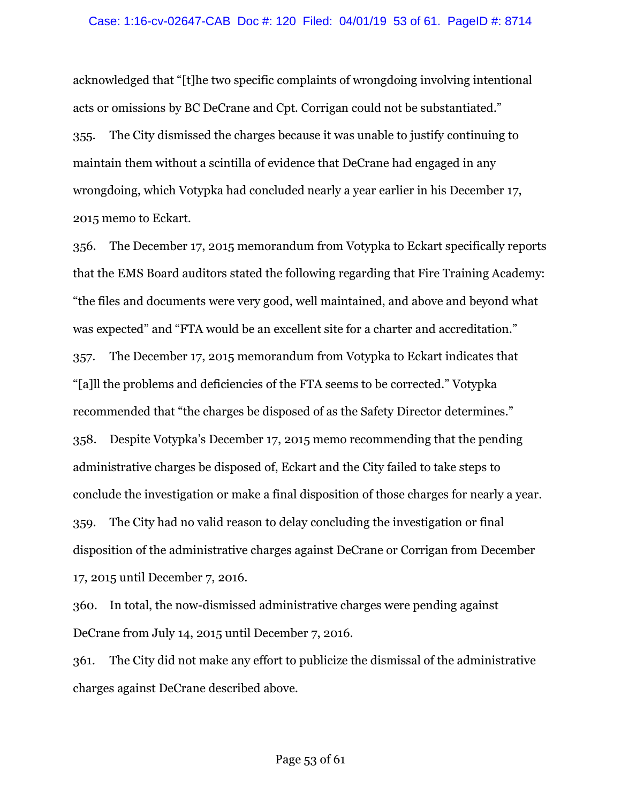### Case: 1:16-cv-02647-CAB Doc #: 120 Filed: 04/01/19 53 of 61. PageID #: 8714

acknowledged that "[t]he two specific complaints of wrongdoing involving intentional acts or omissions by BC DeCrane and Cpt. Corrigan could not be substantiated." 355. The City dismissed the charges because it was unable to justify continuing to maintain them without a scintilla of evidence that DeCrane had engaged in any wrongdoing, which Votypka had concluded nearly a year earlier in his December 17, 2015 memo to Eckart.

356. The December 17, 2015 memorandum from Votypka to Eckart specifically reports that the EMS Board auditors stated the following regarding that Fire Training Academy: "the files and documents were very good, well maintained, and above and beyond what was expected" and "FTA would be an excellent site for a charter and accreditation." 357. The December 17, 2015 memorandum from Votypka to Eckart indicates that "[a]ll the problems and deficiencies of the FTA seems to be corrected." Votypka recommended that "the charges be disposed of as the Safety Director determines." 358. Despite Votypka's December 17, 2015 memo recommending that the pending administrative charges be disposed of, Eckart and the City failed to take steps to conclude the investigation or make a final disposition of those charges for nearly a year. 359. The City had no valid reason to delay concluding the investigation or final disposition of the administrative charges against DeCrane or Corrigan from December 17, 2015 until December 7, 2016.

360. In total, the now-dismissed administrative charges were pending against DeCrane from July 14, 2015 until December 7, 2016.

361. The City did not make any effort to publicize the dismissal of the administrative charges against DeCrane described above.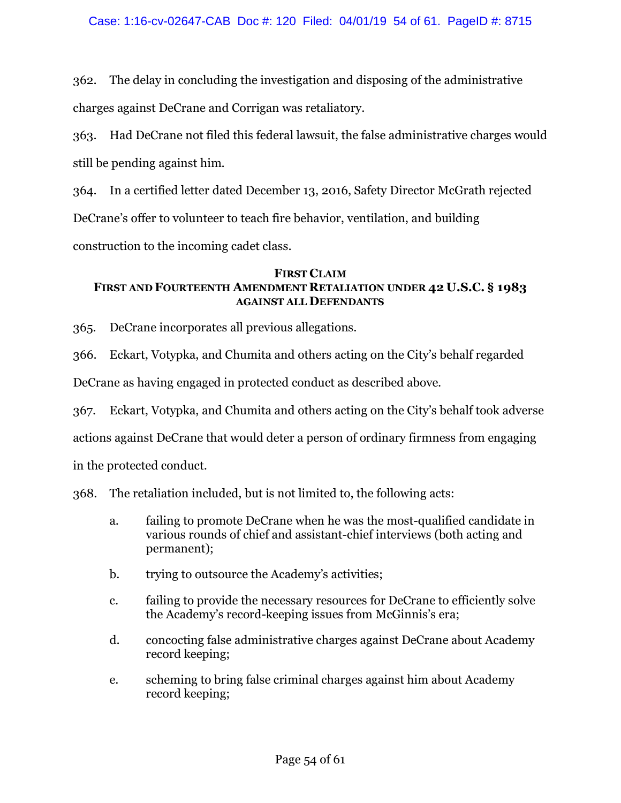362. The delay in concluding the investigation and disposing of the administrative charges against DeCrane and Corrigan was retaliatory.

363. Had DeCrane not filed this federal lawsuit, the false administrative charges would still be pending against him.

364. In a certified letter dated December 13, 2016, Safety Director McGrath rejected DeCrane's offer to volunteer to teach fire behavior, ventilation, and building

construction to the incoming cadet class.

# **FIRST CLAIM FIRST AND FOURTEENTH AMENDMENT RETALIATION UNDER 42 U.S.C. § 1983 AGAINST ALL DEFENDANTS**

365. DeCrane incorporates all previous allegations.

366. Eckart, Votypka, and Chumita and others acting on the City's behalf regarded

DeCrane as having engaged in protected conduct as described above.

367. Eckart, Votypka, and Chumita and others acting on the City's behalf took adverse

actions against DeCrane that would deter a person of ordinary firmness from engaging

in the protected conduct.

368. The retaliation included, but is not limited to, the following acts:

- a. failing to promote DeCrane when he was the most-qualified candidate in various rounds of chief and assistant-chief interviews (both acting and permanent);
- b. trying to outsource the Academy's activities;
- c. failing to provide the necessary resources for DeCrane to efficiently solve the Academy's record-keeping issues from McGinnis's era;
- d. concocting false administrative charges against DeCrane about Academy record keeping;
- e. scheming to bring false criminal charges against him about Academy record keeping;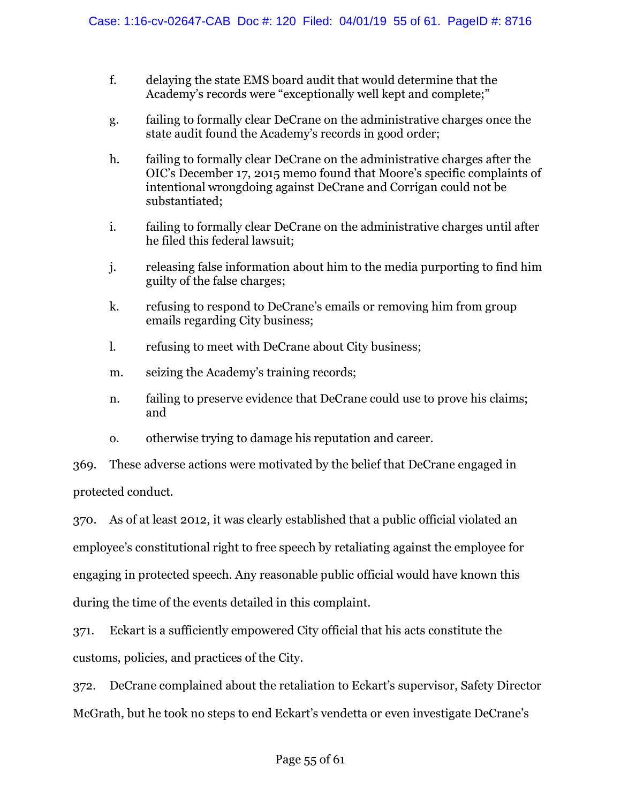- f. delaying the state EMS board audit that would determine that the Academy's records were "exceptionally well kept and complete;"
- g. failing to formally clear DeCrane on the administrative charges once the state audit found the Academy's records in good order;
- h. failing to formally clear DeCrane on the administrative charges after the OIC's December 17, 2015 memo found that Moore's specific complaints of intentional wrongdoing against DeCrane and Corrigan could not be substantiated;
- i. failing to formally clear DeCrane on the administrative charges until after he filed this federal lawsuit;
- j. releasing false information about him to the media purporting to find him guilty of the false charges;
- k. refusing to respond to DeCrane's emails or removing him from group emails regarding City business;
- l. refusing to meet with DeCrane about City business;
- m. seizing the Academy's training records;
- n. failing to preserve evidence that DeCrane could use to prove his claims; and
- o. otherwise trying to damage his reputation and career.

369. These adverse actions were motivated by the belief that DeCrane engaged in protected conduct.

370. As of at least 2012, it was clearly established that a public official violated an employee's constitutional right to free speech by retaliating against the employee for engaging in protected speech. Any reasonable public official would have known this during the time of the events detailed in this complaint.

371. Eckart is a sufficiently empowered City official that his acts constitute the customs, policies, and practices of the City.

372. DeCrane complained about the retaliation to Eckart's supervisor, Safety Director McGrath, but he took no steps to end Eckart's vendetta or even investigate DeCrane's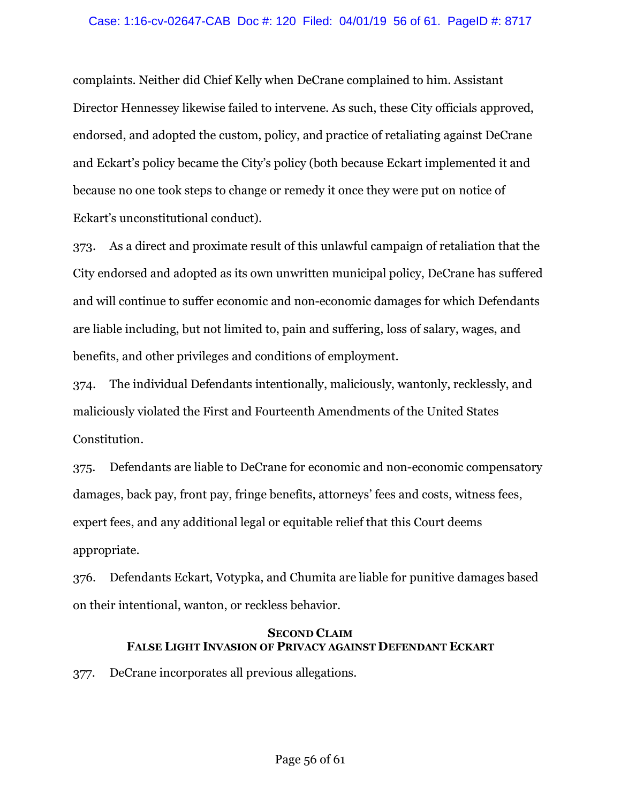### Case: 1:16-cv-02647-CAB Doc #: 120 Filed: 04/01/19 56 of 61. PageID #: 8717

complaints. Neither did Chief Kelly when DeCrane complained to him. Assistant Director Hennessey likewise failed to intervene. As such, these City officials approved, endorsed, and adopted the custom, policy, and practice of retaliating against DeCrane and Eckart's policy became the City's policy (both because Eckart implemented it and because no one took steps to change or remedy it once they were put on notice of Eckart's unconstitutional conduct).

373. As a direct and proximate result of this unlawful campaign of retaliation that the City endorsed and adopted as its own unwritten municipal policy, DeCrane has suffered and will continue to suffer economic and non-economic damages for which Defendants are liable including, but not limited to, pain and suffering, loss of salary, wages, and benefits, and other privileges and conditions of employment.

374. The individual Defendants intentionally, maliciously, wantonly, recklessly, and maliciously violated the First and Fourteenth Amendments of the United States Constitution.

375. Defendants are liable to DeCrane for economic and non-economic compensatory damages, back pay, front pay, fringe benefits, attorneys' fees and costs, witness fees, expert fees, and any additional legal or equitable relief that this Court deems appropriate.

376. Defendants Eckart, Votypka, and Chumita are liable for punitive damages based on their intentional, wanton, or reckless behavior.

### **SECOND CLAIM FALSE LIGHT INVASION OF PRIVACY AGAINST DEFENDANT ECKART**

377. DeCrane incorporates all previous allegations.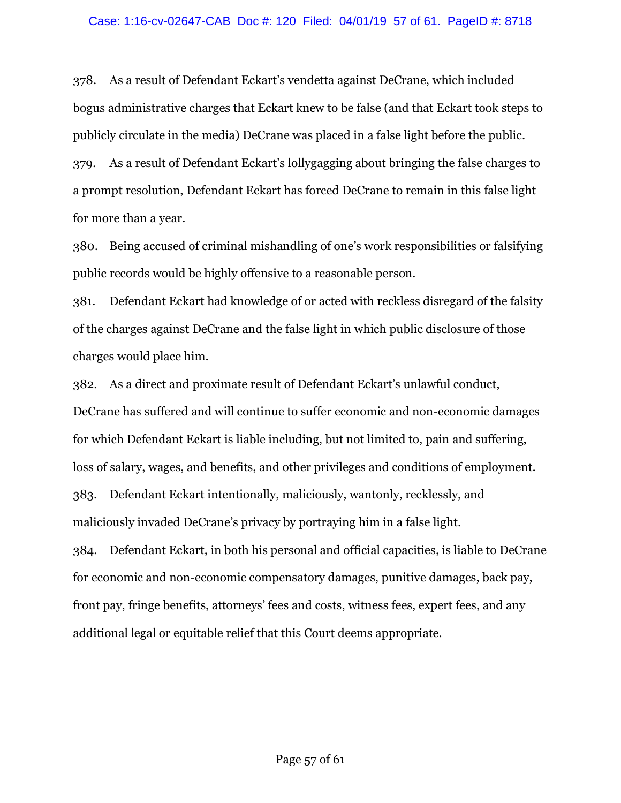### Case: 1:16-cv-02647-CAB Doc #: 120 Filed: 04/01/19 57 of 61. PageID #: 8718

378. As a result of Defendant Eckart's vendetta against DeCrane, which included bogus administrative charges that Eckart knew to be false (and that Eckart took steps to publicly circulate in the media) DeCrane was placed in a false light before the public.

379. As a result of Defendant Eckart's lollygagging about bringing the false charges to a prompt resolution, Defendant Eckart has forced DeCrane to remain in this false light for more than a year.

380. Being accused of criminal mishandling of one's work responsibilities or falsifying public records would be highly offensive to a reasonable person.

381. Defendant Eckart had knowledge of or acted with reckless disregard of the falsity of the charges against DeCrane and the false light in which public disclosure of those charges would place him.

382. As a direct and proximate result of Defendant Eckart's unlawful conduct, DeCrane has suffered and will continue to suffer economic and non-economic damages for which Defendant Eckart is liable including, but not limited to, pain and suffering, loss of salary, wages, and benefits, and other privileges and conditions of employment. 383. Defendant Eckart intentionally, maliciously, wantonly, recklessly, and maliciously invaded DeCrane's privacy by portraying him in a false light. 384. Defendant Eckart, in both his personal and official capacities, is liable to DeCrane

for economic and non-economic compensatory damages, punitive damages, back pay, front pay, fringe benefits, attorneys' fees and costs, witness fees, expert fees, and any additional legal or equitable relief that this Court deems appropriate.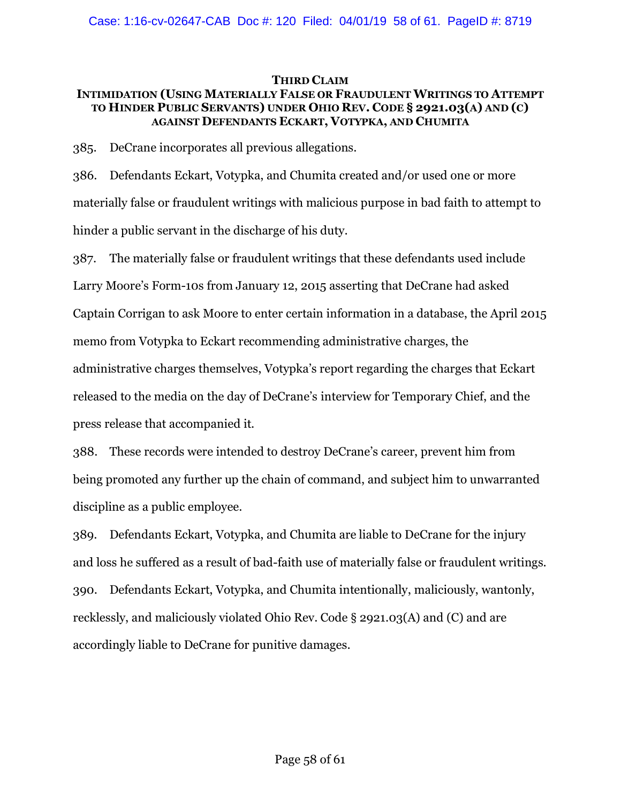### **THIRD CLAIM**

## **INTIMIDATION (USING MATERIALLY FALSE OR FRAUDULENT WRITINGS TO ATTEMPT TO HINDER PUBLIC SERVANTS) UNDER OHIO REV. CODE § 2921.03(A) AND (C) AGAINST DEFENDANTS ECKART, VOTYPKA, AND CHUMITA**

385. DeCrane incorporates all previous allegations.

386. Defendants Eckart, Votypka, and Chumita created and/or used one or more materially false or fraudulent writings with malicious purpose in bad faith to attempt to hinder a public servant in the discharge of his duty.

387. The materially false or fraudulent writings that these defendants used include Larry Moore's Form-10s from January 12, 2015 asserting that DeCrane had asked Captain Corrigan to ask Moore to enter certain information in a database, the April 2015 memo from Votypka to Eckart recommending administrative charges, the administrative charges themselves, Votypka's report regarding the charges that Eckart released to the media on the day of DeCrane's interview for Temporary Chief, and the press release that accompanied it.

388. These records were intended to destroy DeCrane's career, prevent him from being promoted any further up the chain of command, and subject him to unwarranted discipline as a public employee.

389. Defendants Eckart, Votypka, and Chumita are liable to DeCrane for the injury and loss he suffered as a result of bad-faith use of materially false or fraudulent writings. 390. Defendants Eckart, Votypka, and Chumita intentionally, maliciously, wantonly, recklessly, and maliciously violated Ohio Rev. Code § 2921.03(A) and (C) and are accordingly liable to DeCrane for punitive damages.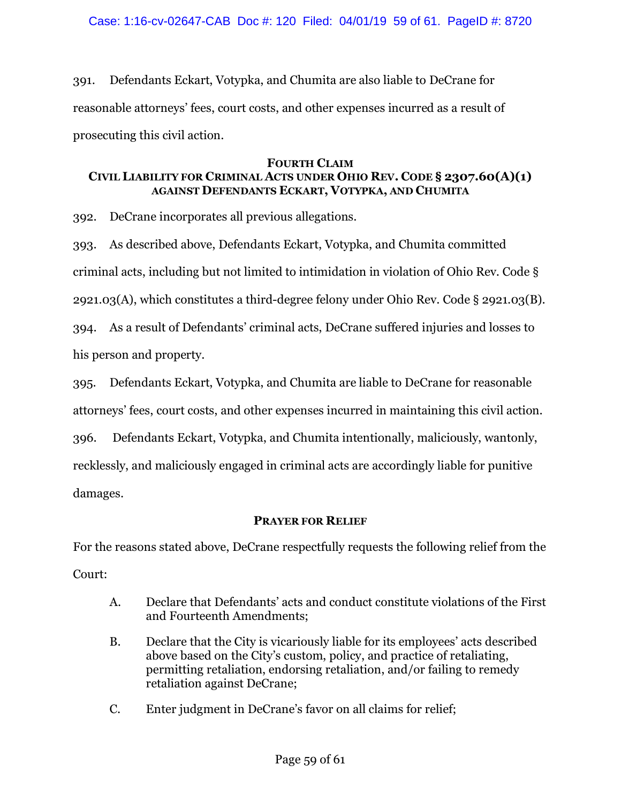391. Defendants Eckart, Votypka, and Chumita are also liable to DeCrane for reasonable attorneys' fees, court costs, and other expenses incurred as a result of prosecuting this civil action.

### **FOURTH CLAIM**

# **CIVIL LIABILITY FOR CRIMINAL ACTS UNDER OHIO REV. CODE § 2307.60(A)(1) AGAINST DEFENDANTS ECKART, VOTYPKA, AND CHUMITA**

392. DeCrane incorporates all previous allegations.

393. As described above, Defendants Eckart, Votypka, and Chumita committed criminal acts, including but not limited to intimidation in violation of Ohio Rev. Code § 2921.03(A), which constitutes a third-degree felony under Ohio Rev. Code § 2921.03(B). 394. As a result of Defendants' criminal acts, DeCrane suffered injuries and losses to

his person and property.

395. Defendants Eckart, Votypka, and Chumita are liable to DeCrane for reasonable attorneys' fees, court costs, and other expenses incurred in maintaining this civil action.

396. Defendants Eckart, Votypka, and Chumita intentionally, maliciously, wantonly,

recklessly, and maliciously engaged in criminal acts are accordingly liable for punitive damages.

# **PRAYER FOR RELIEF**

For the reasons stated above, DeCrane respectfully requests the following relief from the Court:

- A. Declare that Defendants' acts and conduct constitute violations of the First and Fourteenth Amendments;
- B. Declare that the City is vicariously liable for its employees' acts described above based on the City's custom, policy, and practice of retaliating, permitting retaliation, endorsing retaliation, and/or failing to remedy retaliation against DeCrane;
- C. Enter judgment in DeCrane's favor on all claims for relief;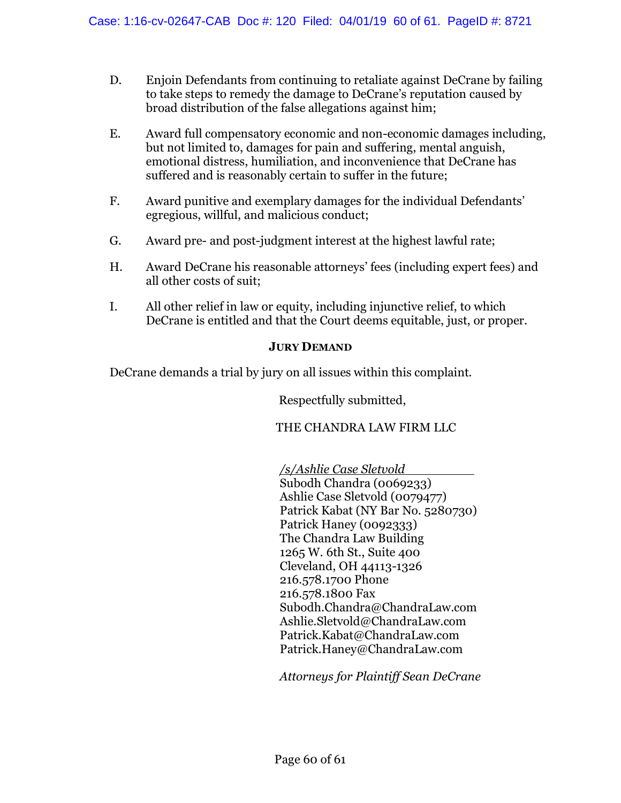- D. Enjoin Defendants from continuing to retaliate against DeCrane by failing to take steps to remedy the damage to DeCrane's reputation caused by broad distribution of the false allegations against him;
- E. Award full compensatory economic and non-economic damages including, but not limited to, damages for pain and suffering, mental anguish, emotional distress, humiliation, and inconvenience that DeCrane has suffered and is reasonably certain to suffer in the future;
- F. Award punitive and exemplary damages for the individual Defendants' egregious, willful, and malicious conduct;
- G. Award pre- and post-judgment interest at the highest lawful rate;
- H. Award DeCrane his reasonable attorneys' fees (including expert fees) and all other costs of suit;
- I. All other relief in law or equity, including injunctive relief, to which DeCrane is entitled and that the Court deems equitable, just, or proper.

## **JURY DEMAND**

DeCrane demands a trial by jury on all issues within this complaint.

Respectfully submitted,

## THE CHANDRA LAW FIRM LLC

*/s/Ashlie Case Sletvold* Subodh Chandra (0069233) Ashlie Case Sletvold (0079477) Patrick Kabat (NY Bar No. 5280730) Patrick Haney (0092333) The Chandra Law Building 1265 W. 6th St., Suite 400 Cleveland, OH 44113-1326 216.578.1700 Phone 216.578.1800 Fax Subodh.Chandra@ChandraLaw.com Ashlie.Sletvold@ChandraLaw.com Patrick.Kabat@ChandraLaw.com Patrick.Haney@ChandraLaw.com

*Attorneys for Plaintiff Sean DeCrane*